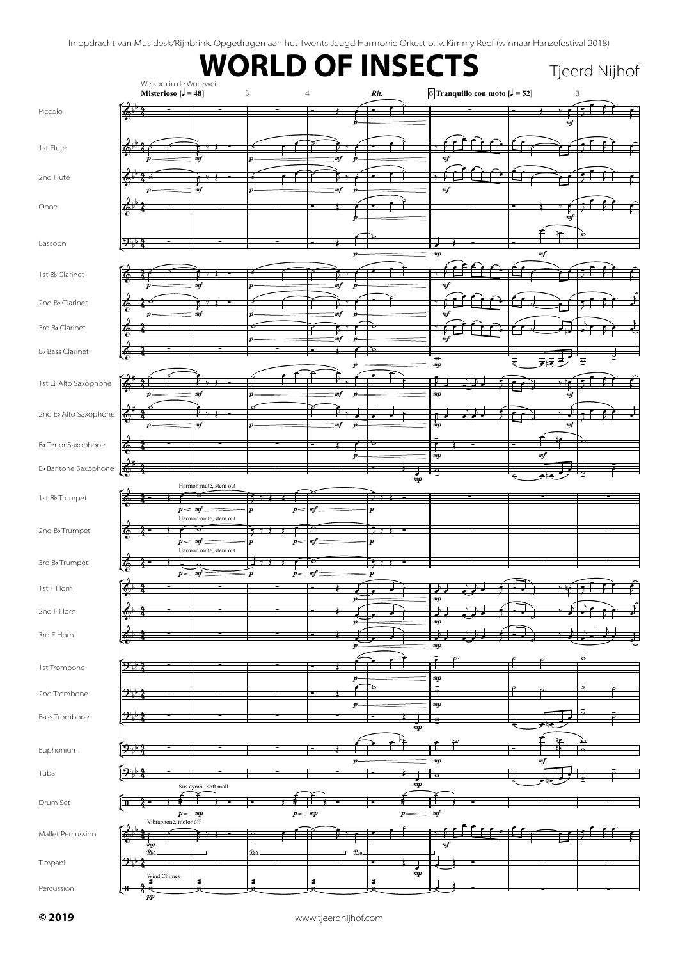| <b>WORLD OF INSECTS</b> | Tjeerd Nijhof |
|-------------------------|---------------|
| نصيمالد                 |               |

|                       | Welkom in de Wollewei<br>Misterioso $\left[\rule{0pt}{13pt}\right]=48$ ]                                                                |                                           |                                  |                              | Rit.                                        | $\boxed{6}$ Tranquillo con moto $\boxed{5}$ = 52] |         | 8  |
|-----------------------|-----------------------------------------------------------------------------------------------------------------------------------------|-------------------------------------------|----------------------------------|------------------------------|---------------------------------------------|---------------------------------------------------|---------|----|
|                       |                                                                                                                                         |                                           | $\mathbf{3}$                     | $\overline{4}$               |                                             |                                                   |         |    |
| Piccolo               |                                                                                                                                         |                                           |                                  |                              |                                             |                                                   |         |    |
|                       |                                                                                                                                         |                                           |                                  |                              |                                             |                                                   | mf      |    |
|                       |                                                                                                                                         |                                           |                                  |                              |                                             |                                                   |         |    |
| 1st Flute             | 6                                                                                                                                       |                                           |                                  |                              |                                             |                                                   |         |    |
|                       |                                                                                                                                         | mf                                        |                                  | mf<br>p                      |                                             | mf                                                |         |    |
| 2nd Flute             |                                                                                                                                         |                                           |                                  |                              |                                             |                                                   |         |    |
|                       |                                                                                                                                         | mf                                        |                                  | mf<br>$\boldsymbol{p}$       |                                             | mf                                                |         |    |
|                       |                                                                                                                                         |                                           |                                  |                              |                                             |                                                   |         |    |
| Oboe                  |                                                                                                                                         |                                           |                                  |                              |                                             |                                                   |         |    |
|                       |                                                                                                                                         |                                           |                                  |                              |                                             |                                                   |         |    |
|                       |                                                                                                                                         |                                           |                                  |                              |                                             |                                                   |         |    |
| Bassoon               | י≓י                                                                                                                                     |                                           |                                  |                              |                                             |                                                   |         |    |
|                       |                                                                                                                                         |                                           |                                  | $\boldsymbol{p}$             |                                             | mp                                                | $_{mf}$ |    |
| 1st Bb Clarinet       |                                                                                                                                         |                                           |                                  |                              |                                             |                                                   |         |    |
|                       |                                                                                                                                         | mf                                        |                                  | mf<br>$\boldsymbol{p}$       |                                             | m f                                               |         |    |
|                       |                                                                                                                                         |                                           |                                  |                              |                                             |                                                   |         |    |
| 2nd Bb Clarinet       |                                                                                                                                         | $\cdots$                                  |                                  |                              |                                             |                                                   |         |    |
|                       |                                                                                                                                         | mf                                        |                                  | $_{mf}$ $_p$                 |                                             | mf                                                |         |    |
| 3rd Bb Clarinet       | 6                                                                                                                                       |                                           | ರ                                |                              | o                                           |                                                   |         |    |
|                       |                                                                                                                                         |                                           |                                  | $\it mf$<br>$\boldsymbol{p}$ |                                             | mf                                                |         |    |
| Bb Bass Clarinet      |                                                                                                                                         |                                           |                                  |                              | ⊸                                           |                                                   |         |    |
|                       |                                                                                                                                         |                                           |                                  |                              |                                             | $\frac{\Theta}{\bar{mp}}$                         |         |    |
| 1st Eb Alto Saxophone | ∲                                                                                                                                       |                                           |                                  |                              |                                             |                                                   |         |    |
|                       |                                                                                                                                         | mf                                        |                                  | mf<br>$\boldsymbol{p}$       |                                             | mр                                                |         |    |
|                       |                                                                                                                                         |                                           |                                  |                              |                                             |                                                   |         |    |
| 2nd Eb Alto Saxophone |                                                                                                                                         |                                           |                                  |                              |                                             |                                                   |         |    |
|                       |                                                                                                                                         | mf                                        |                                  | mf<br>$\boldsymbol{r}$       |                                             | mр                                                | тj      |    |
| Bb Tenor Saxophone    |                                                                                                                                         |                                           |                                  |                              | ক                                           |                                                   |         |    |
|                       | 6                                                                                                                                       |                                           |                                  |                              |                                             | mp                                                | m f     |    |
|                       | 6                                                                                                                                       |                                           |                                  |                              |                                             |                                                   |         |    |
|                       |                                                                                                                                         |                                           |                                  |                              |                                             |                                                   |         |    |
| Eb Baritone Saxophone |                                                                                                                                         |                                           |                                  |                              |                                             |                                                   |         |    |
|                       |                                                                                                                                         | Harmon mute, stem out                     |                                  |                              | $\bar{m}p$                                  |                                                   |         |    |
| 1st Bb Trumpet        |                                                                                                                                         |                                           |                                  |                              |                                             |                                                   |         |    |
|                       | $p$ = $mf$                                                                                                                              |                                           | $p$ = $m$ f                      |                              |                                             |                                                   |         |    |
|                       |                                                                                                                                         | Harmon mute, stem out                     |                                  |                              |                                             |                                                   |         |    |
| 2nd Bb Trumpet        | ∲                                                                                                                                       |                                           |                                  |                              | Ŕ.                                          |                                                   |         |    |
|                       |                                                                                                                                         | $p<$ mf $\equiv$<br>Harmon mute, stem out | p                                | $p< $ mf $^-$                | $\boldsymbol{p}$                            |                                                   |         |    |
|                       |                                                                                                                                         |                                           |                                  |                              | $\overline{R}$ $\rightarrow$ $\overline{R}$ |                                                   |         |    |
| 3rd Bb Trumpet        | $p < \eta f$                                                                                                                            |                                           | $p < \eta f$<br>$\boldsymbol{p}$ |                              | $\boldsymbol{p}$                            |                                                   |         |    |
|                       |                                                                                                                                         |                                           |                                  |                              |                                             |                                                   |         |    |
| 1st F Horn            | $\vec{v}$                                                                                                                               |                                           |                                  | $\boldsymbol{p}$             |                                             |                                                   |         |    |
| 2nd F Horn            |                                                                                                                                         |                                           |                                  |                              |                                             | $_{\it mp}$                                       |         |    |
|                       | 6                                                                                                                                       |                                           |                                  | $\boldsymbol{p}$             |                                             | $_{\it mp}$                                       |         |    |
| 3rd F Horn            | 6                                                                                                                                       |                                           |                                  |                              |                                             |                                                   |         |    |
|                       |                                                                                                                                         |                                           |                                  | $\boldsymbol{p}$             |                                             | $_{\it mp}$                                       |         |    |
|                       |                                                                                                                                         |                                           |                                  |                              |                                             |                                                   |         | ءَ |
| 1st Trombone          | $2+2$                                                                                                                                   |                                           |                                  |                              |                                             |                                                   |         |    |
|                       |                                                                                                                                         |                                           |                                  | $p-$                         |                                             | тp                                                |         |    |
| 2nd Trombone          | <del>י י</del> ב                                                                                                                        |                                           |                                  |                              |                                             | $\overline{\bullet}$                              |         |    |
|                       |                                                                                                                                         |                                           |                                  |                              | $p-$                                        | $\sqrt{np}$                                       |         |    |
| <b>Bass Trombone</b>  | ⊯'                                                                                                                                      |                                           |                                  |                              |                                             |                                                   |         |    |
|                       |                                                                                                                                         |                                           |                                  |                              | $\it mp$                                    |                                                   |         |    |
|                       |                                                                                                                                         |                                           |                                  |                              |                                             |                                                   |         | o  |
| Euphonium             | 9⊧⊵                                                                                                                                     |                                           |                                  |                              |                                             |                                                   |         |    |
|                       |                                                                                                                                         |                                           |                                  | $\boldsymbol{p}$             |                                             | $\sqrt{np}$                                       | m f     |    |
| Tuba                  | $9\,\mathrm{P}$                                                                                                                         |                                           |                                  |                              |                                             |                                                   |         |    |
|                       |                                                                                                                                         | Sus cymb., soft mall.                     |                                  |                              | $\it mp$                                    |                                                   |         |    |
| Drum Set              | $\blacksquare$                                                                                                                          |                                           |                                  |                              |                                             |                                                   |         |    |
|                       | p <mp< td=""><td></td><td><math>p&lt;</math> mp</td><td></td><td><math>p \longrightarrow f</math></td><td></td><td></td><td></td></mp<> |                                           | $p<$ mp                          |                              | $p \longrightarrow f$                       |                                                   |         |    |
|                       | Vibraphone, motor off                                                                                                                   |                                           |                                  |                              |                                             |                                                   |         |    |
| Mallet Percussion     |                                                                                                                                         |                                           |                                  |                              |                                             |                                                   |         |    |
|                       | $\frac{\mathbf{e}^{\mathbf{e}}}{\mathbf{e}^{\mathbf{e}}}$                                                                               |                                           |                                  |                              |                                             | m f                                               |         |    |
|                       | mp<br>Led.                                                                                                                              |                                           | Led.                             |                              | 200                                         |                                                   |         |    |
| Timpani               | $2+4$                                                                                                                                   |                                           |                                  |                              | $\it mp$                                    |                                                   |         |    |
| Percussion            | Wind Chimes<br>$\frac{4}{4}$<br>ℍ                                                                                                       | ş                                         | ă                                | Е                            | Ξ                                           |                                                   |         |    |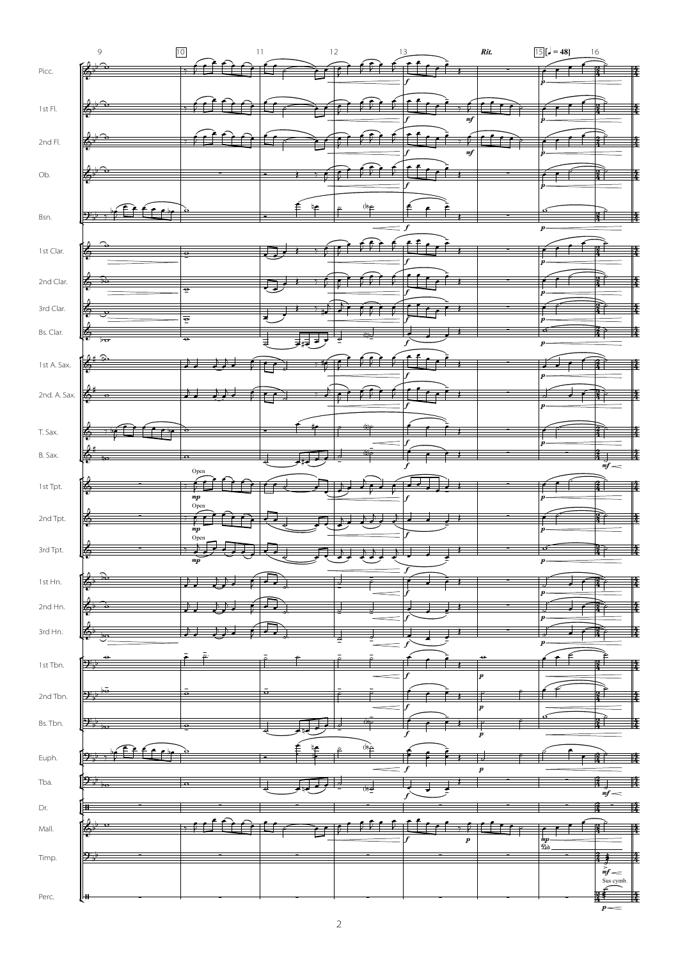|              | 9                                                   | 10                   | 11             | $12\,$                          |                         | $Rit$ .          | $15$ [ $J = 48$ ]<br>16 |                                          |
|--------------|-----------------------------------------------------|----------------------|----------------|---------------------------------|-------------------------|------------------|-------------------------|------------------------------------------|
| Picc.        |                                                     |                      |                |                                 |                         |                  |                         |                                          |
|              |                                                     |                      |                |                                 |                         |                  |                         |                                          |
| $1$ st Fl.   | $\mathbb{Z}^{\mathbb{Z}^{\infty}}$                  |                      |                |                                 | m f                     |                  |                         | $\frac{4}{4}$                            |
| 2nd Fl.      |                                                     |                      |                |                                 |                         |                  |                         | 车                                        |
|              |                                                     |                      |                |                                 | m f                     |                  |                         |                                          |
|              | $\frac{1}{2}$                                       |                      |                |                                 |                         |                  |                         | ま                                        |
|              |                                                     |                      |                |                                 |                         |                  |                         |                                          |
|              | 9 ⊅                                                 |                      |                | $\stackrel{\circ}{\Rightarrow}$ | $\stackrel{\bullet}{=}$ |                  |                         | ⇞                                        |
|              |                                                     |                      |                |                                 | $\equiv f$              |                  | p                       |                                          |
| $1$ st Clar. |                                                     | $\bullet$            |                |                                 |                         |                  |                         | 湰                                        |
|              |                                                     |                      |                |                                 |                         |                  |                         |                                          |
| 2nd Clar.    |                                                     | $\overline{\cdot}$   |                |                                 |                         |                  |                         | 耄                                        |
| 3rd Clar.    | ∲                                                   |                      |                |                                 |                         |                  |                         |                                          |
| Bs. Clar.    | ⊜<br>$\overline{b}$                                 |                      |                |                                 |                         |                  |                         |                                          |
|              |                                                     |                      | इं∉चर्         |                                 |                         |                  | $\boldsymbol{p}$        |                                          |
|              | 1st A. Sax. $\sqrt{\frac{2}{3} \cdot \frac{6}{10}}$ | $\rightarrow$        |                |                                 |                         |                  |                         | 隆                                        |
|              | 2nd. A. Sax. $\frac{1}{2}$                          | $\rightarrow$        |                |                                 |                         |                  |                         | \$                                       |
|              |                                                     |                      |                |                                 |                         |                  |                         |                                          |
|              | $\rightarrow$                                       |                      |                |                                 |                         |                  |                         |                                          |
|              |                                                     |                      |                |                                 |                         |                  |                         |                                          |
|              |                                                     | Open                 |                |                                 |                         |                  |                         | $\frac{d}{m}$                            |
| $1$ st Tpt.  |                                                     | $_{\it mp}$          |                |                                 |                         |                  |                         | 隆                                        |
|              |                                                     | Open                 |                |                                 | ⇉                       |                  |                         | $\widehat{\mathcal{X}}^*$                |
| 2nd Tpt.     | ক                                                   | $\mathfrak{m}p$      |                |                                 |                         |                  |                         | $\frac{4}{4}$                            |
| 3rd Tpt.     | 傻                                                   | $\frac{1}{\sqrt{2}}$ | $\blacksquare$ | $\overline{\phantom{a}}$        |                         |                  |                         | $\frac{2}{7}$                            |
|              | ₷                                                   | $\overline{mp}$      |                |                                 |                         |                  | $\boldsymbol{p}$        |                                          |
|              | 奋                                                   |                      |                |                                 |                         |                  |                         | $\frac{4}{4}$                            |
| 2nd Hn.      | 蚕                                                   |                      |                |                                 |                         |                  |                         | 4<br>ÃŦ                                  |
| 3rd Hn.      | 6                                                   |                      |                |                                 |                         |                  |                         |                                          |
|              |                                                     | Ā                    |                |                                 |                         |                  | $\boldsymbol{p}$        |                                          |
| $1$ st Tbn.  | $\mathbf{\mathcal{P}}$                              |                      |                |                                 |                         | p                |                         | 葎                                        |
| 2nd Tbn.     | $9\pm$                                              | 0                    | o              |                                 |                         |                  |                         | $\frac{4}{4}$                            |
|              |                                                     |                      |                |                                 |                         | $\boldsymbol{p}$ |                         |                                          |
| Bs. Tbn.     | $2\,\mathrm{p}$                                     |                      |                | Φc                              | $\boldsymbol{f}$        | $\boldsymbol{p}$ |                         | $\mathbf{P}$<br>ŧ                        |
|              |                                                     |                      |                | (b)∉                            |                         |                  |                         |                                          |
|              |                                                     |                      |                |                                 | f                       | $\pmb{p}$        |                         | 撁                                        |
|              | $\mathcal{Y}^{\perp}_{\mathcal{V}}$                 |                      |                | ゆす                              |                         |                  |                         | 撁<br>$m\hspace{-1.2pt}/\hspace{-1.2pt}/$ |
|              | ⊞                                                   |                      |                |                                 |                         |                  |                         | 瑈                                        |
|              | $\Phi^{\sharp}$                                     |                      |                |                                 |                         |                  |                         | $\mathbb{Z}$<br>ま                        |
|              |                                                     |                      |                |                                 | $\pmb{p}$               |                  | mp<br>Led.              |                                          |
|              | $\mathfrak{P}^+$                                    |                      |                |                                 |                         |                  |                         | $\frac{2}{4}$ ,<br>$\frac{1}{m}f$ —      |
|              |                                                     |                      |                |                                 |                         |                  |                         | Sus cymb.                                |
|              | ľ₩.                                                 |                      |                |                                 |                         |                  |                         | $p\rightleftharpoons$                    |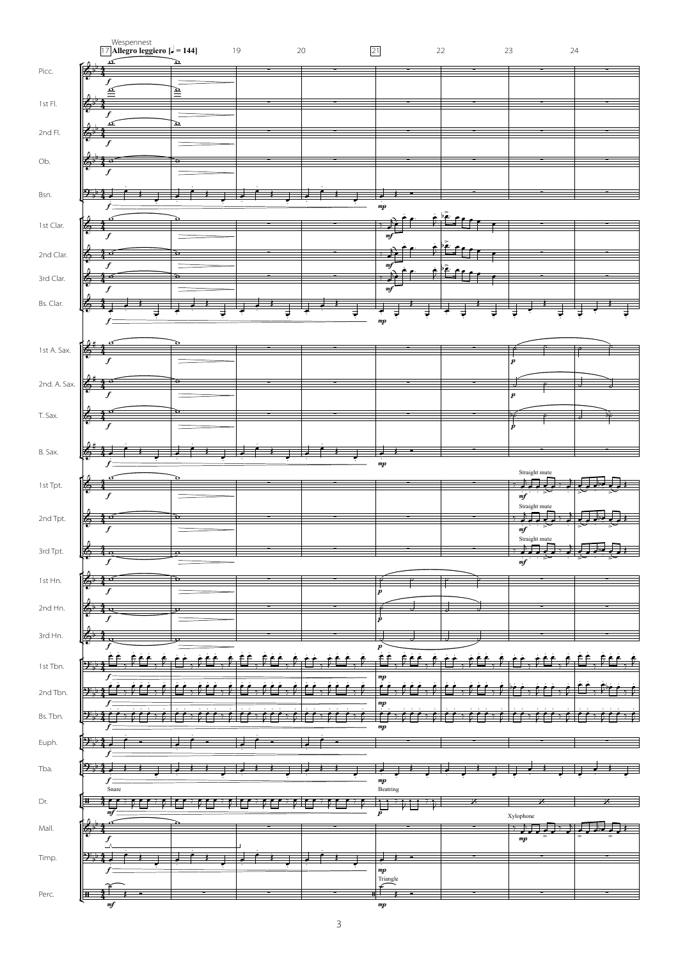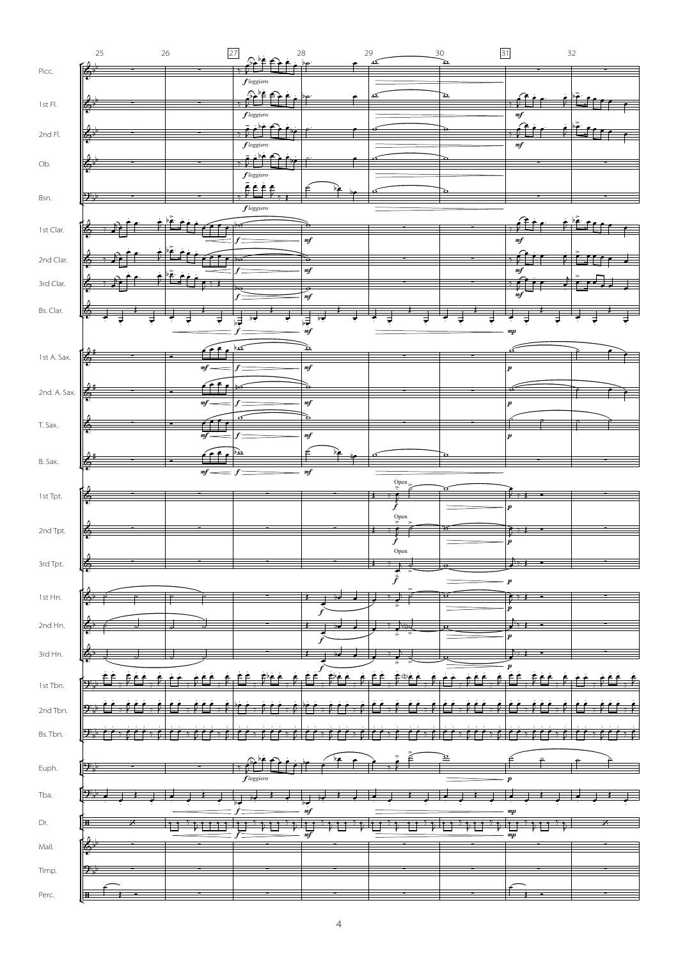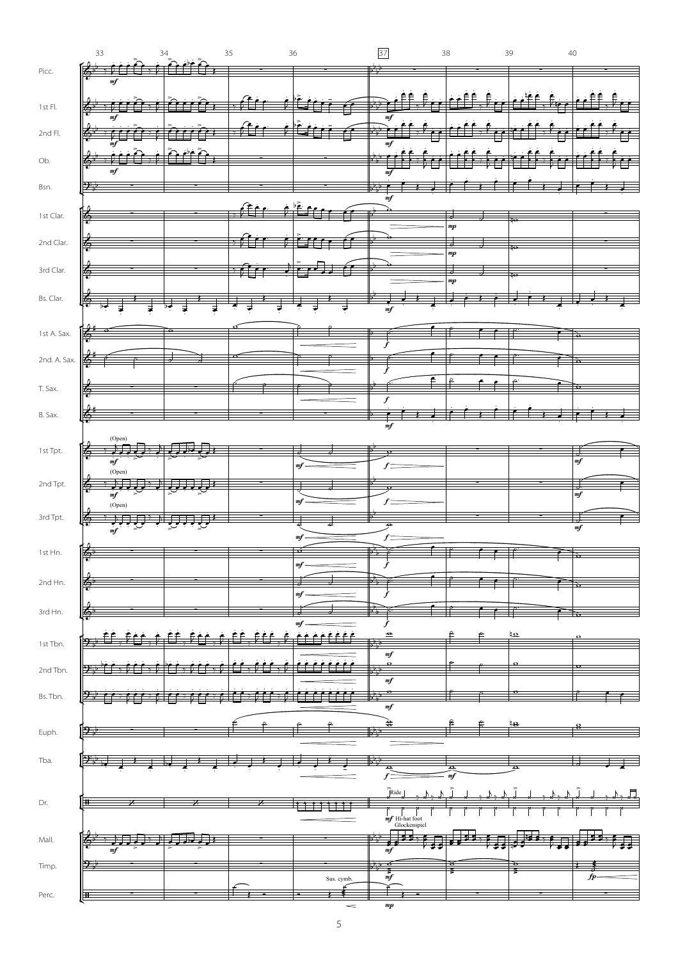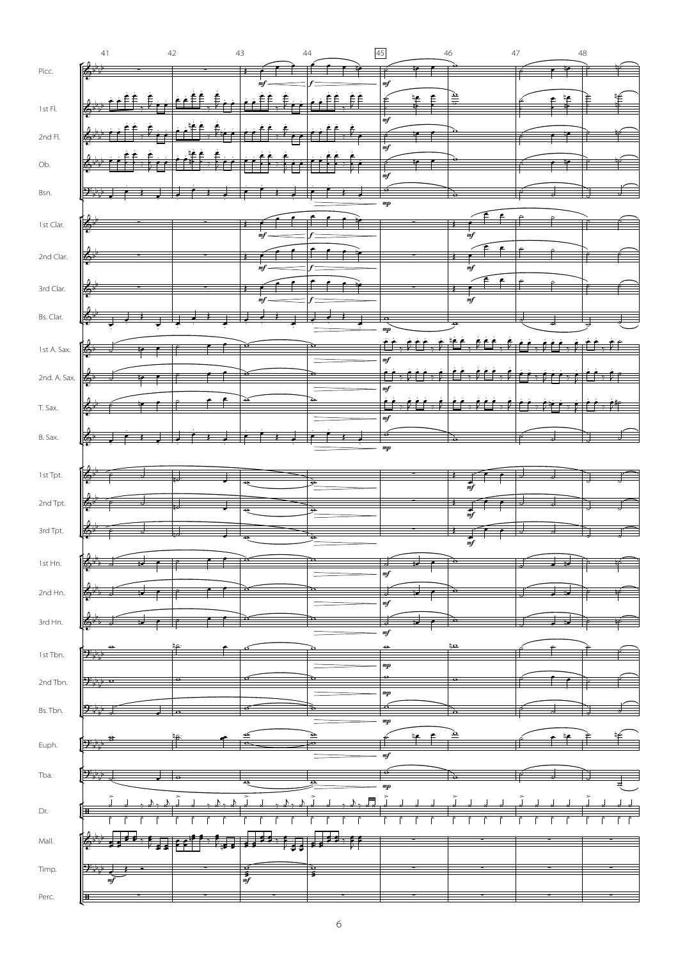|              | 41                               | 42<br>43                                                                                                        | 44                            |                      | 45                               | 46<br>47                                               | 48 |
|--------------|----------------------------------|-----------------------------------------------------------------------------------------------------------------|-------------------------------|----------------------|----------------------------------|--------------------------------------------------------|----|
| Picc.        | 會                                |                                                                                                                 |                               |                      |                                  |                                                        |    |
|              |                                  |                                                                                                                 |                               |                      | m f                              |                                                        |    |
| 1st Fl.      | أفاخ                             |                                                                                                                 | ₹                             | 銈                    | 里<br>₿<br>₿                      | $\frac{\dot{\mathbf{a}}}{\dot{\overline{\mathbf{a}}}}$ |    |
|              |                                  |                                                                                                                 |                               |                      | m f                              |                                                        |    |
| 2nd Fl.      |                                  | <del>في ان القادر المسل</del> وم المسلم المسلم المسلم المسلم المسلم المسلم المسلم المسلم المسلم المسلم المسلم ا |                               | ≛≟<br>$\rightarrow$  | é.<br>mf                         |                                                        |    |
| Ob.          | $\epsilon$ $\epsilon$ $\epsilon$ | <u>e e S. S. e e e e e</u>                                                                                      | $\frac{1}{2}$ , $\frac{1}{2}$ |                      |                                  |                                                        |    |
|              |                                  |                                                                                                                 |                               |                      | m f                              |                                                        |    |
| Bsn.         | ン                                |                                                                                                                 |                               |                      | $_{mp}$                          |                                                        |    |
|              |                                  |                                                                                                                 |                               |                      |                                  |                                                        |    |
| 1st Clar.    |                                  |                                                                                                                 |                               |                      |                                  | mf                                                     |    |
| 2nd Clar.    | र्क                              |                                                                                                                 |                               |                      |                                  |                                                        |    |
|              |                                  |                                                                                                                 |                               |                      |                                  | m f                                                    |    |
| 3rd Clar.    | 6                                |                                                                                                                 |                               |                      |                                  | ₽                                                      |    |
|              |                                  |                                                                                                                 | m f                           |                      |                                  | $\bar{m}f$                                             |    |
| Bs. Clar.    | 6                                |                                                                                                                 |                               |                      | mp                               |                                                        |    |
|              |                                  |                                                                                                                 |                               |                      | ÈĖ, ŽĖĖ                          | $\mathfrak{p}$ of $\mathfrak{p}$                       |    |
| 1st A. Sax.  |                                  |                                                                                                                 |                               |                      | mf                               |                                                        |    |
| 2nd. A. Sax. | 一个                               |                                                                                                                 |                               |                      |                                  |                                                        |    |
|              |                                  |                                                                                                                 | $\ddot{\bullet}$              |                      | mf                               |                                                        |    |
| T. Sax.      |                                  |                                                                                                                 |                               |                      | f f<br>$\overline{\mathit{mf}}$  |                                                        |    |
| B. Sax.      | $\Phi$                           |                                                                                                                 |                               |                      | $\frac{1}{\sigma}$               |                                                        |    |
|              |                                  |                                                                                                                 |                               |                      | $_{mp}$                          |                                                        |    |
|              |                                  |                                                                                                                 |                               |                      |                                  |                                                        |    |
|              |                                  |                                                                                                                 |                               |                      |                                  |                                                        |    |
| 1st Tpt.     |                                  |                                                                                                                 |                               | ₱                    |                                  | $\frac{1}{\pi f}$                                      |    |
| 2nd Tpt.     |                                  |                                                                                                                 |                               |                      |                                  |                                                        |    |
|              |                                  |                                                                                                                 | $\overline{\bullet}$          | $\overline{\bullet}$ |                                  | ≠<br>m f                                               |    |
| 3rd Tpt.     |                                  |                                                                                                                 |                               |                      |                                  | $\overrightarrow{m}$                                   |    |
|              |                                  |                                                                                                                 |                               |                      |                                  |                                                        |    |
| $1st Hn.$    | ⊝                                |                                                                                                                 |                               |                      | $\overline{\mathit{mf}}$         |                                                        |    |
| $2nd Hn.$    |                                  |                                                                                                                 |                               |                      |                                  | $\mathbf{\sigma}$                                      |    |
|              |                                  |                                                                                                                 |                               |                      | $\overline{\mathit{mf}}$         |                                                        |    |
| 3rd Hn.      |                                  |                                                                                                                 |                               |                      | $\overline{\mathit{mf}}$         |                                                        |    |
|              | 2.1                              |                                                                                                                 |                               |                      | $\bullet$                        | <u>م ا</u>                                             |    |
| 1st Tbn.     |                                  |                                                                                                                 |                               |                      | $\sqrt{np}$                      |                                                        |    |
| 2nd Tbn.     | $9\,$ ) $\,$ 0                   | ⊖                                                                                                               | of                            |                      |                                  |                                                        |    |
|              | $2 + 1$                          |                                                                                                                 | $\sim$                        | ò                    | $\it mp$<br>$\overline{\bullet}$ |                                                        |    |
| Bs. Tbn.     |                                  |                                                                                                                 |                               |                      | $\it mp$                         |                                                        |    |
|              | $2\frac{1}{2}$                   | ╩                                                                                                               | உ<br>$\overline{\mathbf{o}}$  |                      | 毕                                |                                                        |    |
| Euph.        |                                  |                                                                                                                 |                               |                      | $\it mf$                         |                                                        |    |
| Tba.         | $9\,\mathrm{pb}$                 |                                                                                                                 |                               |                      | $\bullet$                        |                                                        |    |
|              |                                  |                                                                                                                 |                               |                      | $\it mp$                         |                                                        |    |
| Dr.          | Œ                                |                                                                                                                 |                               | 员                    |                                  |                                                        |    |
|              |                                  |                                                                                                                 |                               |                      |                                  |                                                        |    |
| Mall.        | 6                                |                                                                                                                 |                               |                      |                                  |                                                        |    |
| Timp.        | $2_{\rm F}$                      |                                                                                                                 |                               |                      |                                  |                                                        |    |
| Perc.        | 圧                                |                                                                                                                 | 三言                            | ţ                    |                                  |                                                        |    |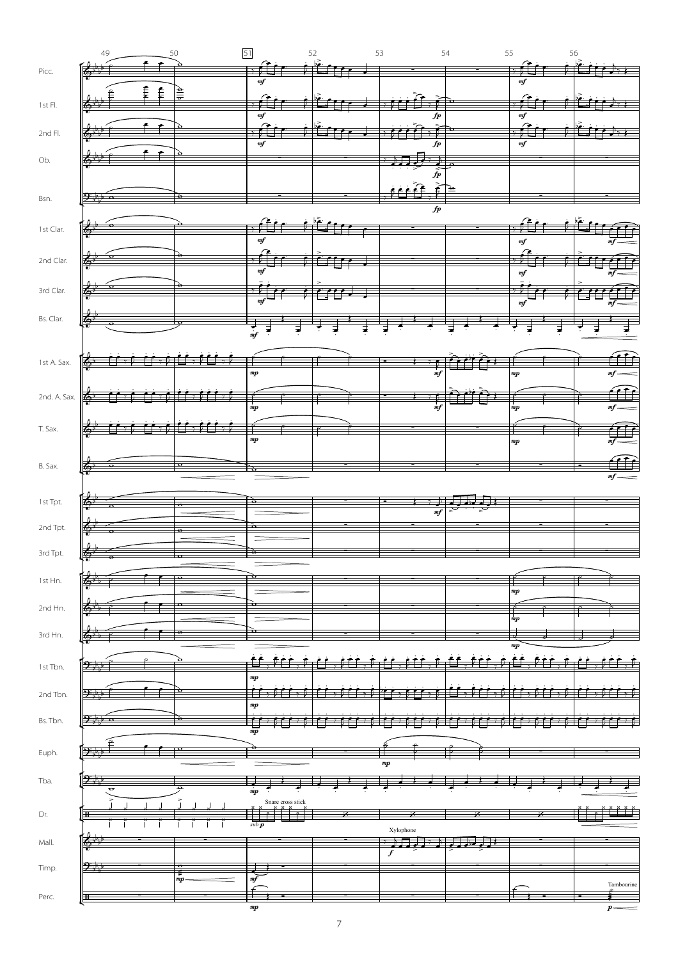|              | 49                                      | 50                      | 51                                                                                   | 52                                                            | 53                                                                | 54      | 55                        | 56                               |
|--------------|-----------------------------------------|-------------------------|--------------------------------------------------------------------------------------|---------------------------------------------------------------|-------------------------------------------------------------------|---------|---------------------------|----------------------------------|
| Picc.        | $\mathbb{C}^{\mathbb{P}^p}$             |                         |                                                                                      |                                                               |                                                                   |         |                           |                                  |
|              | $\frac{\epsilon}{\epsilon}$<br>Ê.       | $\frac{1}{2}$           | $\it mf$                                                                             |                                                               |                                                                   |         | mf                        |                                  |
| $1$ st Fl.   |                                         |                         | $\it mf$                                                                             |                                                               | fp                                                                |         | mf                        |                                  |
| 2nd Fl.      |                                         |                         |                                                                                      |                                                               |                                                                   |         |                           |                                  |
|              |                                         |                         | $\it mf$                                                                             |                                                               | fp                                                                |         | $\it mf$                  |                                  |
| Ob.          |                                         |                         |                                                                                      |                                                               |                                                                   |         |                           |                                  |
|              |                                         |                         |                                                                                      |                                                               | ĥ                                                                 |         |                           |                                  |
| Bsn.         | ファー                                     |                         |                                                                                      |                                                               | $\sum_{i=1}^{n}$<br>أأنفذ                                         |         |                           |                                  |
|              |                                         |                         |                                                                                      |                                                               | $\overline{fp}$                                                   |         |                           |                                  |
| 1st Clar.    | $\sigma$                                |                         |                                                                                      |                                                               |                                                                   |         |                           |                                  |
|              |                                         |                         | m f                                                                                  |                                                               |                                                                   |         | mf                        |                                  |
| 2nd Clar.    |                                         |                         | m f                                                                                  |                                                               |                                                                   |         |                           |                                  |
|              |                                         |                         |                                                                                      |                                                               |                                                                   |         | $m\!f$                    |                                  |
| 3rd Clar.    |                                         |                         | $\frac{p}{\sqrt{m}}$                                                                 | f f f f                                                       |                                                                   |         | m f                       | mf                               |
| Bs. Clar.    | ଙ                                       |                         |                                                                                      |                                                               |                                                                   |         |                           |                                  |
|              |                                         |                         | $\frac{1}{m}$<br>₹                                                                   | ₹<br>₹                                                        | ₹                                                                 | ⋣       | ₹<br>₹                    | ₹<br>₹                           |
|              |                                         |                         |                                                                                      |                                                               |                                                                   |         |                           |                                  |
| 1st A. Sax.  | 6                                       |                         | $_{\it mp}$                                                                          |                                                               | mf                                                                |         |                           | mf                               |
|              |                                         |                         |                                                                                      |                                                               |                                                                   |         | тp                        |                                  |
| 2nd. A. Sax. | $\mathbf{f}$<br>$\overline{\mathbb{G}}$ |                         | тp                                                                                   |                                                               | mf                                                                |         |                           | $m f \equiv$                     |
|              |                                         |                         |                                                                                      |                                                               |                                                                   |         | тp                        |                                  |
| T. Sax.      | $\sim$ $\sim$ $\sim$ $\sim$             |                         | $_{\it mp}$                                                                          |                                                               |                                                                   |         |                           | <b>file</b>                      |
|              |                                         |                         |                                                                                      |                                                               |                                                                   |         | $_{\it mp}$               |                                  |
| B. Sax.      | $\overline{\bullet}$                    | $\overline{\mathbf{c}}$ |                                                                                      |                                                               |                                                                   |         |                           | ŕf                               |
|              |                                         |                         |                                                                                      |                                                               |                                                                   |         |                           | $\it{mf}$ ——                     |
| 1st Tpt.     |                                         |                         |                                                                                      |                                                               |                                                                   |         |                           |                                  |
| 2nd Tpt.     |                                         |                         |                                                                                      |                                                               | $m\!f$                                                            |         |                           |                                  |
|              |                                         |                         |                                                                                      |                                                               |                                                                   |         |                           |                                  |
| 3rd Tpt.     | ′م≫<br>$\overline{\cdot}$               |                         | $\bullet$                                                                            |                                                               |                                                                   |         |                           |                                  |
|              |                                         |                         | ò                                                                                    |                                                               |                                                                   |         |                           |                                  |
| 1st Hn.      | ଚ≚                                      |                         |                                                                                      |                                                               |                                                                   |         | If<br>$\sqrt{np}$         |                                  |
| 2nd Hn.      | ଚ∘                                      |                         |                                                                                      |                                                               |                                                                   |         |                           |                                  |
|              |                                         |                         |                                                                                      |                                                               |                                                                   |         | $\vert \overset{+}{m}p$   |                                  |
| 3rd Hn.      |                                         | $\bullet$               | $\bullet$                                                                            |                                                               |                                                                   |         | $\boldsymbol{m}$          |                                  |
|              |                                         |                         | ff.pee.p                                                                             |                                                               |                                                                   | t ff.tr | فغف                       |                                  |
| 1st Tbn.     | $2\,\rm{pc}$                            |                         | $_{\it mp}$                                                                          |                                                               |                                                                   |         |                           |                                  |
| 2nd Tbn.     | $2_{\rm H}$                             |                         | $\sqrt{1-\gamma}$<br>千千                                                              | $\mathfrak{d}$ if $\mathfrak{d}$ is the set of $\mathfrak{d}$ |                                                                   |         | $D$ in the set of the $D$ | $\overline{p}$ in $\overline{p}$ |
|              |                                         |                         | $\sqrt{np}$                                                                          |                                                               |                                                                   |         |                           |                                  |
| Bs. Tbn.     | $2\,\mathrm{pc}$                        | ò                       | $\cdots$<br>$\sqrt{np}$                                                              | $\cdots$                                                      |                                                                   |         |                           |                                  |
|              | ₠                                       | $\mathbf{\sigma}$       |                                                                                      |                                                               |                                                                   |         |                           |                                  |
| Euph.        | $9\,\rm{ps}$                            |                         |                                                                                      |                                                               | $_{\it mp}$                                                       |         |                           |                                  |
| Tba.         | 9.25                                    |                         |                                                                                      |                                                               |                                                                   |         |                           |                                  |
|              | $\sigma$                                |                         | $\frac{1}{mp}$                                                                       |                                                               |                                                                   |         |                           |                                  |
|              | $\blacksquare$                          |                         | Snare cross stick<br>$\begin{array}{c c}\n\ast & \ast & \ast \\ \hline\n\end{array}$ |                                                               | 7.                                                                | Ζ       | 7                         | ŤĬ                               |
|              |                                         |                         | $sub$ $\boldsymbol{p}$                                                               |                                                               | $\mathbf{Xy}$ lophone                                             |         |                           |                                  |
| Mall.        | $\mathbb{C}^{\mathbb{P}}$               |                         |                                                                                      |                                                               | $\overline{2}$ , $\overline{2}$ , $\overline{2}$ , $\overline{2}$ |         |                           |                                  |
| Timp.        |                                         | $\circ$                 |                                                                                      |                                                               | $\ddot{f}$                                                        |         |                           |                                  |
|              | $\mathcal{P}_{\mathbb{P}^{\prime}}$     | š<br>mp-                | mf                                                                                   |                                                               |                                                                   |         |                           |                                  |
|              |                                         |                         |                                                                                      |                                                               |                                                                   |         |                           | Tambourine                       |
| Perc.        | Ŧ                                       |                         | ╪                                                                                    |                                                               |                                                                   |         |                           | £                                |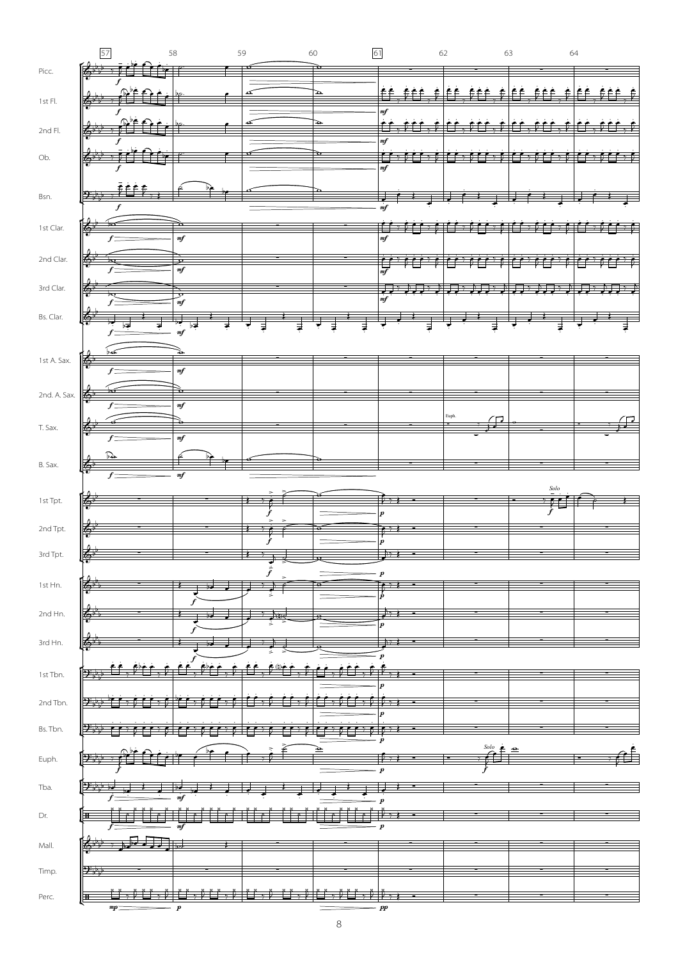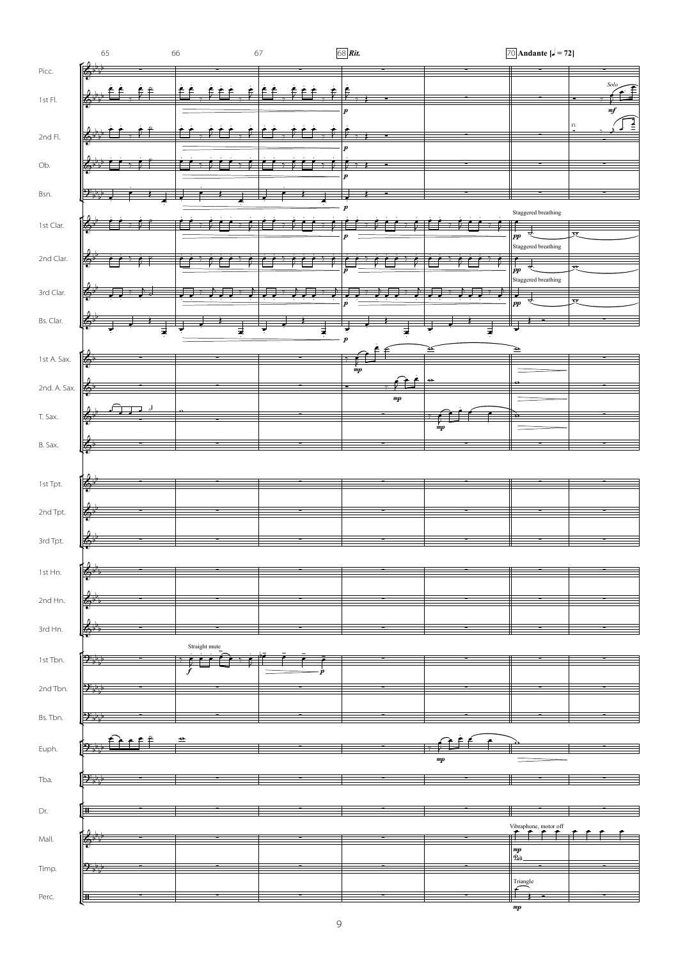|              | 65                                 | 66                                                               | 67                | $68$ Rit.                    |                                  | $\boxed{70}$ Andante [ $\cancel{=}72$ ]                                                                                                                                                                                                                                                                                                                                                                                                                                                                                                                   |                                              |
|--------------|------------------------------------|------------------------------------------------------------------|-------------------|------------------------------|----------------------------------|-----------------------------------------------------------------------------------------------------------------------------------------------------------------------------------------------------------------------------------------------------------------------------------------------------------------------------------------------------------------------------------------------------------------------------------------------------------------------------------------------------------------------------------------------------------|----------------------------------------------|
| Picc.        | $\overline{\mathbb{C}}$            |                                                                  |                   |                              |                                  |                                                                                                                                                                                                                                                                                                                                                                                                                                                                                                                                                           |                                              |
| 1st Fl.      | €                                  | Ê<br>f.<br>∲<br>$\overline{t}$ f f                               | IÊÊ<br>5 f f<br>₿ | ╞                            |                                  |                                                                                                                                                                                                                                                                                                                                                                                                                                                                                                                                                           | $\overbrace{\phantom{a}}^{Solo}$<br>$\it mf$ |
| 2nd Fl.      |                                    |                                                                  |                   | ╆<br>$\overline{\mathbf{r}}$ |                                  |                                                                                                                                                                                                                                                                                                                                                                                                                                                                                                                                                           | ⊒                                            |
|              | ⊝                                  |                                                                  |                   | ŋ<br>Ŧß<br>÷                 |                                  |                                                                                                                                                                                                                                                                                                                                                                                                                                                                                                                                                           |                                              |
|              | $\mathcal{D}_{\mathbb{P}^+}$       |                                                                  |                   | $\boldsymbol{v}$             |                                  |                                                                                                                                                                                                                                                                                                                                                                                                                                                                                                                                                           |                                              |
| 1st Clar.    | 6                                  |                                                                  |                   | p                            |                                  | Staggered breathing<br>₹                                                                                                                                                                                                                                                                                                                                                                                                                                                                                                                                  | $\sigma$                                     |
| 2nd Clar.    | $\Phi$                             |                                                                  |                   |                              |                                  | $_{pp}$<br>$\operatorname{Staggered}$ breathing                                                                                                                                                                                                                                                                                                                                                                                                                                                                                                           |                                              |
| 3rd Clar.    | $\bullet$                          |                                                                  |                   |                              |                                  | $_{\textit{\textbf{PP}}}^+$<br>$\operatorname{Staggered}$ breathing                                                                                                                                                                                                                                                                                                                                                                                                                                                                                       | $\overline{\mathbf{Q}}$                      |
| Bs. Clar.    | $\Phi$                             |                                                                  |                   |                              |                                  | $\boldsymbol{p}\boldsymbol{p}$                                                                                                                                                                                                                                                                                                                                                                                                                                                                                                                            | Ō                                            |
|              |                                    |                                                                  |                   | $\boldsymbol{p}$<br>é        |                                  | ₴                                                                                                                                                                                                                                                                                                                                                                                                                                                                                                                                                         |                                              |
| 1st A. Sax.  | ি                                  |                                                                  |                   | $\boldsymbol{m}$<br>₽        |                                  |                                                                                                                                                                                                                                                                                                                                                                                                                                                                                                                                                           |                                              |
| 2nd. A. Sax. | ∲                                  |                                                                  |                   | $\it mp$                     |                                  |                                                                                                                                                                                                                                                                                                                                                                                                                                                                                                                                                           |                                              |
| T. Sax.      | 6                                  |                                                                  |                   |                              | $\stackrel{\text{r}}{\text{mp}}$ |                                                                                                                                                                                                                                                                                                                                                                                                                                                                                                                                                           |                                              |
| B. Sax.      | Ģ                                  |                                                                  |                   |                              |                                  |                                                                                                                                                                                                                                                                                                                                                                                                                                                                                                                                                           |                                              |
| 1st Tpt.     | ∲                                  |                                                                  |                   |                              |                                  |                                                                                                                                                                                                                                                                                                                                                                                                                                                                                                                                                           |                                              |
| 2nd Tpt.     | $\Phi$                             |                                                                  |                   |                              |                                  |                                                                                                                                                                                                                                                                                                                                                                                                                                                                                                                                                           |                                              |
| 3rd Tpt.     | $\overline{\mathbb{C}}$            |                                                                  |                   |                              |                                  |                                                                                                                                                                                                                                                                                                                                                                                                                                                                                                                                                           |                                              |
| 1st Hn.      | $\mathcal{L}$<br>$\bullet$         |                                                                  |                   |                              |                                  |                                                                                                                                                                                                                                                                                                                                                                                                                                                                                                                                                           |                                              |
| 2nd Hn.      | <del>惨</del>                       |                                                                  |                   |                              |                                  |                                                                                                                                                                                                                                                                                                                                                                                                                                                                                                                                                           |                                              |
| 3rd Hn.      | 中                                  | $\begin{array}{c}\n\text{Straight mutex} \\ \hline\n\end{array}$ |                   |                              |                                  |                                                                                                                                                                                                                                                                                                                                                                                                                                                                                                                                                           |                                              |
| 1st Tbn.     | $2_{\nu\overline{\nu}}$            | $\overline{\phantom{0}}$                                         |                   |                              |                                  |                                                                                                                                                                                                                                                                                                                                                                                                                                                                                                                                                           |                                              |
| 2nd Tbn.     | $2\psi$<br>÷<br>$9\gamma$          | Ξ                                                                |                   | Ξ                            |                                  |                                                                                                                                                                                                                                                                                                                                                                                                                                                                                                                                                           |                                              |
| Bs. Tbn.     | €<br>$9+$                          | $\mathbf{e}$                                                     |                   |                              | ₽<br>e<br>≛                      |                                                                                                                                                                                                                                                                                                                                                                                                                                                                                                                                                           |                                              |
| Euph.        |                                    |                                                                  |                   |                              | $\sqrt{np}$                      |                                                                                                                                                                                                                                                                                                                                                                                                                                                                                                                                                           |                                              |
|              | $\mathfrak{D}$ , $\mathfrak{p}$    |                                                                  |                   |                              |                                  |                                                                                                                                                                                                                                                                                                                                                                                                                                                                                                                                                           |                                              |
|              | $\blacksquare$<br>$\frac{2}{3}$    |                                                                  |                   |                              |                                  | Vibraphone, motor off                                                                                                                                                                                                                                                                                                                                                                                                                                                                                                                                     |                                              |
| Timp.        | $\mathfrak{I} \sharp \mathfrak{p}$ |                                                                  |                   |                              |                                  | $m p$<br>Led.                                                                                                                                                                                                                                                                                                                                                                                                                                                                                                                                             |                                              |
| Perc.        | Œ                                  |                                                                  |                   |                              |                                  | $\begin{array}{ c c }\n \hline\n \textbf{Triangle} \\  \hline\n \textbf{True} \\  \hline\n \textbf{True} \\  \hline\n \textbf{True} \\  \hline\n \textbf{True} \\  \hline\n \textbf{True} \\  \hline\n \textbf{True} \\  \hline\n \textbf{True} \\  \hline\n \textbf{True} \\  \hline\n \textbf{True} \\  \hline\n \textbf{True} \\  \hline\n \textbf{True} \\  \hline\n \textbf{True} \\  \hline\n \textbf{True} \\  \hline\n \textbf{True} \\  \hline\n \textbf{True} \\  \hline\n \textbf{True} \\  \hline\n \textbf{True} \\  \hline\n \textbf{True}$ |                                              |
|              |                                    |                                                                  |                   |                              |                                  | mp                                                                                                                                                                                                                                                                                                                                                                                                                                                                                                                                                        |                                              |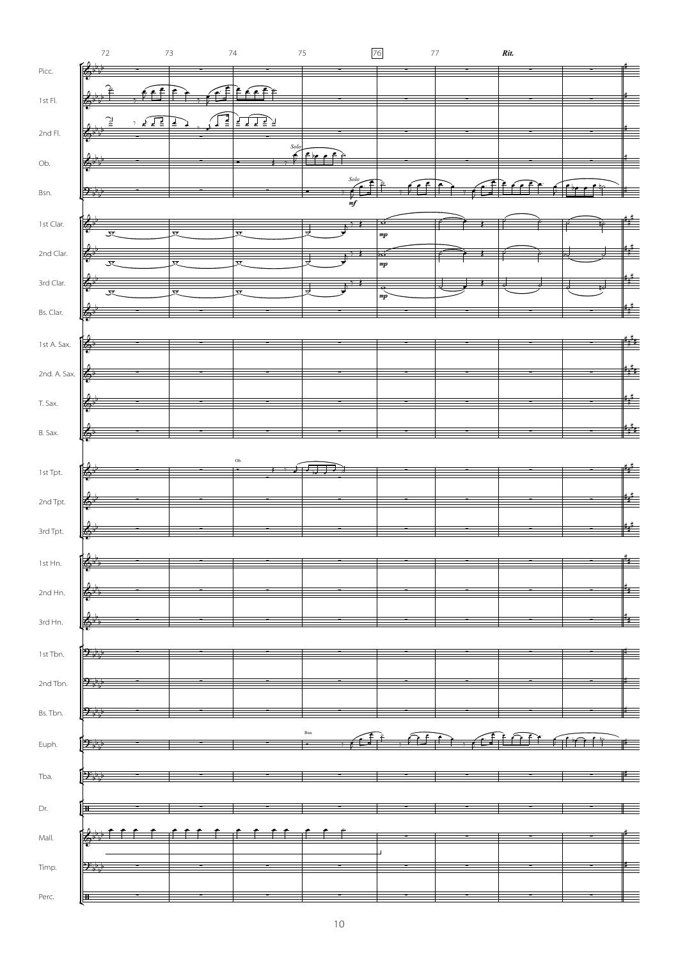| $72\,$                          |                    | 73                      | $74\,$                           | 75                                                                                                                                                                                                                                                                                                                                                                                                                                                                                                    | $\boxed{76}$     | $77\,$ | $Rit$ . |                |
|---------------------------------|--------------------|-------------------------|----------------------------------|-------------------------------------------------------------------------------------------------------------------------------------------------------------------------------------------------------------------------------------------------------------------------------------------------------------------------------------------------------------------------------------------------------------------------------------------------------------------------------------------------------|------------------|--------|---------|----------------|
| $\frac{2}{3}$                   |                    |                         |                                  |                                                                                                                                                                                                                                                                                                                                                                                                                                                                                                       |                  |        |         |                |
| ₽                               | $f \in \mathbb{R}$ |                         | $\sqrt{r}$ if $\epsilon$ and $r$ |                                                                                                                                                                                                                                                                                                                                                                                                                                                                                                       |                  |        |         |                |
|                                 | <u>, , , , , ,</u> |                         | <u>terna</u>                     |                                                                                                                                                                                                                                                                                                                                                                                                                                                                                                       |                  |        |         |                |
|                                 |                    |                         |                                  |                                                                                                                                                                                                                                                                                                                                                                                                                                                                                                       |                  |        |         |                |
|                                 |                    |                         |                                  | Solo                                                                                                                                                                                                                                                                                                                                                                                                                                                                                                  |                  |        |         |                |
|                                 |                    |                         |                                  |                                                                                                                                                                                                                                                                                                                                                                                                                                                                                                       |                  |        |         |                |
|                                 |                    |                         |                                  | $\begin{array}{c}\nSolo \\ \hline\n\vdots \\ \hline\n\end{array}\n\qquad\n\begin{array}{c}\nSolo \\ \hline\n\vdots \\ \hline\n\end{array}\n\qquad\n\begin{array}{c}\n\hline\n\vdots \\ \hline\n\end{array}\n\qquad\n\begin{array}{c}\n\hline\n\vdots \\ \hline\n\end{array}\n\qquad\n\begin{array}{c}\n\hline\n\vdots \\ \hline\n\end{array}\n\qquad\n\begin{array}{c}\n\hline\n\vdots \\ \hline\n\end{array}\n\qquad\n\begin{array}{c}\n\hline\n\vdots \\ \hline\n\end{array}\n\qquad\n\begin{array$ |                  |        |         | ⊧≣             |
|                                 |                    |                         |                                  |                                                                                                                                                                                                                                                                                                                                                                                                                                                                                                       |                  |        |         |                |
|                                 |                    | $\overline{\mathbf{r}}$ | $\overline{\mathbf{p}}$          |                                                                                                                                                                                                                                                                                                                                                                                                                                                                                                       | ó<br>$\sqrt{np}$ |        |         |                |
|                                 |                    |                         |                                  |                                                                                                                                                                                                                                                                                                                                                                                                                                                                                                       | zś               |        |         | ا#"            |
|                                 |                    | $\overline{\mathbf{p}}$ | $\overline{\mathbf{x}}$          |                                                                                                                                                                                                                                                                                                                                                                                                                                                                                                       | $\sqrt{np}$      |        |         |                |
|                                 |                    | $\overline{\mathbf{x}}$ | $\overline{\mathbf{x}}$          |                                                                                                                                                                                                                                                                                                                                                                                                                                                                                                       |                  |        |         | ₩              |
|                                 |                    |                         |                                  |                                                                                                                                                                                                                                                                                                                                                                                                                                                                                                       | mp               |        |         | 十              |
|                                 |                    |                         |                                  |                                                                                                                                                                                                                                                                                                                                                                                                                                                                                                       |                  |        |         |                |
| 1st A. Sax.<br>6                |                    |                         |                                  |                                                                                                                                                                                                                                                                                                                                                                                                                                                                                                       |                  |        |         | 犨              |
|                                 |                    |                         |                                  |                                                                                                                                                                                                                                                                                                                                                                                                                                                                                                       |                  |        |         |                |
| 2nd. A. Sax.<br>$\blacklozenge$ |                    |                         |                                  |                                                                                                                                                                                                                                                                                                                                                                                                                                                                                                       |                  |        |         | ₩              |
|                                 |                    |                         |                                  |                                                                                                                                                                                                                                                                                                                                                                                                                                                                                                       |                  |        |         | ≝              |
|                                 |                    |                         |                                  |                                                                                                                                                                                                                                                                                                                                                                                                                                                                                                       |                  |        |         |                |
| $\bullet$                       |                    |                         |                                  |                                                                                                                                                                                                                                                                                                                                                                                                                                                                                                       |                  |        |         | 犨              |
|                                 |                    |                         | $_{\rm Ob.}$                     |                                                                                                                                                                                                                                                                                                                                                                                                                                                                                                       |                  |        |         |                |
|                                 |                    |                         |                                  | $\overline{1}$                                                                                                                                                                                                                                                                                                                                                                                                                                                                                        |                  |        |         | ≝              |
|                                 |                    |                         |                                  |                                                                                                                                                                                                                                                                                                                                                                                                                                                                                                       |                  |        |         | 犨              |
|                                 |                    |                         |                                  |                                                                                                                                                                                                                                                                                                                                                                                                                                                                                                       |                  |        |         |                |
|                                 |                    |                         |                                  |                                                                                                                                                                                                                                                                                                                                                                                                                                                                                                       |                  |        |         | 44             |
| ≮∆                              |                    |                         |                                  |                                                                                                                                                                                                                                                                                                                                                                                                                                                                                                       |                  |        |         |                |
| 囈                               |                    |                         |                                  |                                                                                                                                                                                                                                                                                                                                                                                                                                                                                                       |                  |        |         | 辈              |
| $\mathbb{C}^{\mathbb{P}}$       |                    |                         |                                  |                                                                                                                                                                                                                                                                                                                                                                                                                                                                                                       |                  |        |         | ▓              |
|                                 |                    |                         |                                  |                                                                                                                                                                                                                                                                                                                                                                                                                                                                                                       |                  |        |         |                |
| 6                               |                    |                         |                                  |                                                                                                                                                                                                                                                                                                                                                                                                                                                                                                       |                  |        |         | ਿੱ≠            |
|                                 |                    |                         |                                  |                                                                                                                                                                                                                                                                                                                                                                                                                                                                                                       |                  |        |         |                |
| $9\%$                           |                    |                         |                                  |                                                                                                                                                                                                                                                                                                                                                                                                                                                                                                       |                  |        |         | ≝              |
| $9_{\nu}$                       |                    |                         |                                  |                                                                                                                                                                                                                                                                                                                                                                                                                                                                                                       |                  |        |         | $\blacksquare$ |
|                                 |                    |                         |                                  |                                                                                                                                                                                                                                                                                                                                                                                                                                                                                                       |                  |        |         |                |
| $\mathbf{P}_{\mathbf{b}}$       |                    |                         |                                  |                                                                                                                                                                                                                                                                                                                                                                                                                                                                                                       |                  |        |         | ≣              |
| $\mathbb{P}$                    |                    |                         |                                  | Bsn.<br>E                                                                                                                                                                                                                                                                                                                                                                                                                                                                                             |                  |        |         | ír<br>∎        |
|                                 |                    |                         |                                  |                                                                                                                                                                                                                                                                                                                                                                                                                                                                                                       |                  |        |         |                |
| $2 +$                           |                    |                         |                                  |                                                                                                                                                                                                                                                                                                                                                                                                                                                                                                       |                  |        |         | $\mathbf{r}$   |
|                                 |                    |                         |                                  |                                                                                                                                                                                                                                                                                                                                                                                                                                                                                                       |                  |        |         |                |
| ⊫                               |                    |                         |                                  |                                                                                                                                                                                                                                                                                                                                                                                                                                                                                                       |                  | Ξ      |         | ≡              |
| $\overline{\mathbb{C}}$         |                    |                         |                                  | H                                                                                                                                                                                                                                                                                                                                                                                                                                                                                                     |                  |        |         | ऻॕ             |
|                                 |                    |                         |                                  |                                                                                                                                                                                                                                                                                                                                                                                                                                                                                                       |                  |        |         |                |
| $ 2\psi\rangle$                 |                    |                         |                                  |                                                                                                                                                                                                                                                                                                                                                                                                                                                                                                       |                  |        |         | f.             |
|                                 |                    |                         |                                  |                                                                                                                                                                                                                                                                                                                                                                                                                                                                                                       |                  |        |         |                |
| ⊫                               |                    |                         |                                  |                                                                                                                                                                                                                                                                                                                                                                                                                                                                                                       |                  |        |         | ≣              |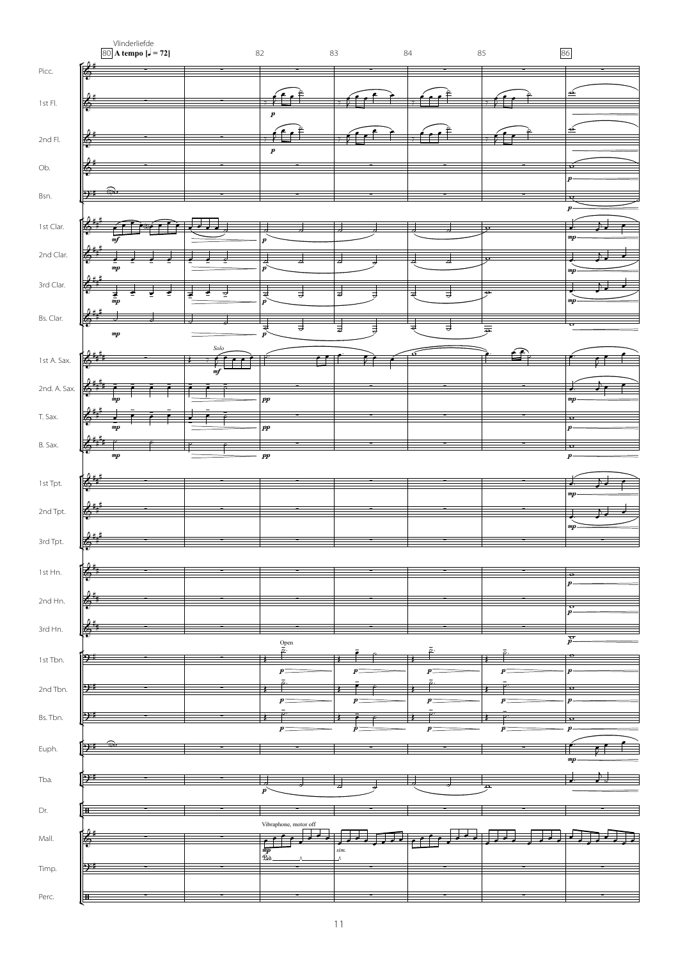|              | Vlinderliefde<br>80 <b>A tempo</b> [ $\sqrt{ } = 72$ ] |                 | 82                            | 83                    | 84               | 85                        | 86                                              |
|--------------|--------------------------------------------------------|-----------------|-------------------------------|-----------------------|------------------|---------------------------|-------------------------------------------------|
|              | ⊯                                                      |                 |                               |                       |                  |                           | ₹                                               |
|              | $\phi^*$                                               |                 | $\pmb{p}$                     |                       |                  |                           |                                                 |
| 2nd Fl.      |                                                        |                 |                               |                       |                  |                           | ≜                                               |
|              |                                                        |                 | $\pmb{p}$                     |                       |                  |                           |                                                 |
|              |                                                        |                 |                               |                       |                  |                           |                                                 |
|              |                                                        |                 |                               |                       |                  |                           | $\boldsymbol{p}$                                |
| 1st Clar.    |                                                        |                 | $\boldsymbol{p}$              |                       |                  |                           | $_{\mathbf{m}p}$                                |
| 2nd Clar.    | 6<br>$\it mp$                                          |                 | ठ<br>p                        | 긓                     | ड                |                           | mр                                              |
| 3rd Clar.    | $\frac{2}{6}$<br>$\vec{m}$                             | ठ               | $\overline{\frac{1}{p}}$<br>₹ | ₹<br>ᅯ                | ₹<br>₹           |                           | mp                                              |
| Bs. Clar.    | မှ                                                     |                 | ォ<br>ತ                        | 긓                     | ਚੋ               |                           |                                                 |
|              | $\it mp$                                               | $\mathit{Solo}$ | $\boldsymbol{p}$              | ㅋ                     | 6                | $\overline{\overline{2}}$ |                                                 |
| 1st A. Sax.  |                                                        | m f             |                               |                       |                  |                           |                                                 |
| 2nd. A. Sax. | ſm<br>mр                                               |                 | $\boldsymbol{pp}$             |                       |                  |                           | $mp-$                                           |
|              | $\boldsymbol{m}$                                       |                 | $\boldsymbol{pp}$             |                       |                  |                           | $\mathbf{\sigma}$                               |
|              | $\it mp$                                               |                 | $p\hspace{-.05cm}p$           |                       |                  |                           | $\overline{\mathbf{a}}$<br>$p-$                 |
|              |                                                        |                 |                               |                       |                  |                           |                                                 |
| 1st Tpt.     | ⊚                                                      |                 |                               |                       |                  |                           | $_{mp}$                                         |
| 2nd Tpt.     | 春                                                      |                 |                               |                       |                  |                           | $_{mp}$                                         |
| 3rd Tpt.     | 6                                                      |                 |                               |                       |                  |                           |                                                 |
| $1$ st Hn.   | €                                                      |                 |                               |                       |                  |                           | $\overline{\bullet}$<br>$p-$                    |
| 2nd Hn.      | $\epsilon$                                             |                 |                               |                       |                  |                           | $\overline{p}$                                  |
| 3rd Hn.      | 牵                                                      |                 |                               |                       |                  |                           |                                                 |
| $1$ st Tbn.  | $\mathbf{P}^+$                                         |                 | Open $\overline{P}$ .<br>≵    |                       | P                | ӊ                         | $\overline{\overline{\widetilde p}}$<br>$\circ$ |
| 2nd Tbn.     | $-9$                                                   |                 | p                             | $\boldsymbol{p}$<br>₹ | $p^-$            | $\boldsymbol{p}$<br>₹     | $\circ$                                         |
|              | 91                                                     |                 | $p^-$<br>۳<br><del>ے</del>    | $\boldsymbol{p}$      | $p^-$            | $p^-$                     | p.                                              |
| Bs. Tbn.     |                                                        |                 | $p^-$                         |                       | $\boldsymbol{p}$ | p                         | $\circ$                                         |
|              | œ<br>91                                                |                 |                               |                       |                  |                           | $_{mp}$                                         |
|              | 9#                                                     |                 |                               |                       |                  |                           | ノノ<br>t                                         |
|              | Œ                                                      |                 |                               |                       |                  |                           |                                                 |
|              | $\blacklozenge$                                        |                 | Vibraphone, motor off         |                       |                  |                           | ᄀ                                               |
|              | 91                                                     |                 | $\frac{mp}{2}$                | sim.<br>$\Lambda$     |                  |                           |                                                 |
|              |                                                        |                 |                               |                       |                  |                           |                                                 |
|              | Œ                                                      |                 |                               |                       |                  |                           |                                                 |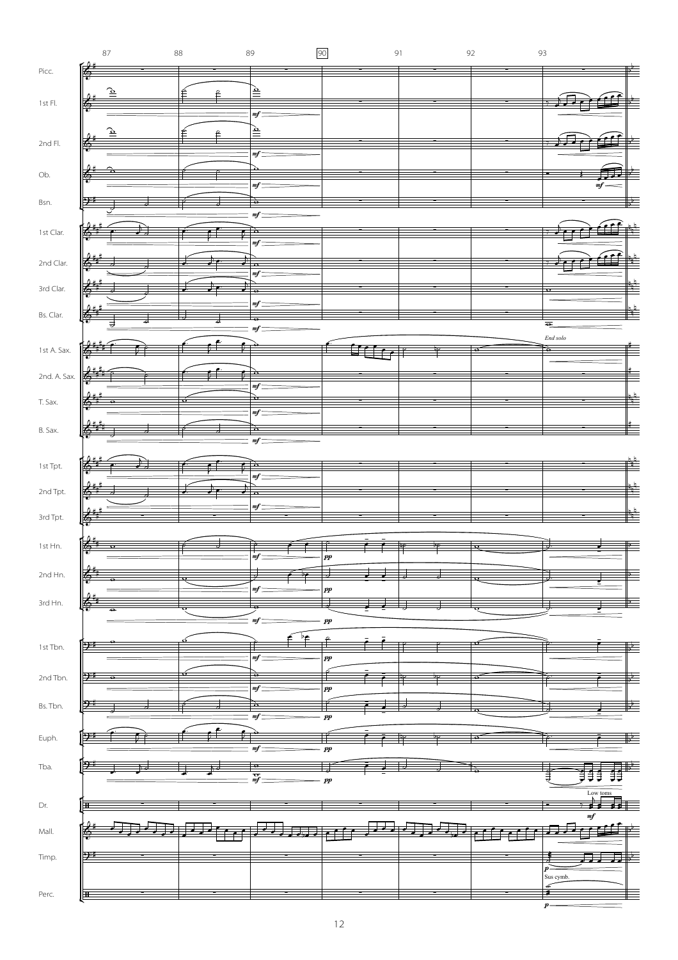| 87                | 88<br>89                                                  | 90                                                     | 91 | 92<br>93 |                                 |
|-------------------|-----------------------------------------------------------|--------------------------------------------------------|----|----------|---------------------------------|
|                   |                                                           |                                                        |    |          |                                 |
| ≙                 | $\triangleq$<br>€                                         |                                                        |    |          |                                 |
|                   |                                                           |                                                        |    |          |                                 |
|                   | $m f =$                                                   |                                                        |    |          |                                 |
| ò                 | ≜<br>Ê                                                    |                                                        |    |          |                                 |
|                   | $m f =$                                                   |                                                        |    |          |                                 |
|                   |                                                           |                                                        |    |          |                                 |
|                   |                                                           |                                                        |    |          |                                 |
|                   | $m\hspace{-0.12cm}/\hspace{-0.12cm}f$ $\hspace{-0.12cm}/$ |                                                        |    |          | mf                              |
|                   |                                                           |                                                        |    |          |                                 |
|                   | $m\!f$ $\!^-$                                             |                                                        |    |          |                                 |
|                   | $\bullet$                                                 |                                                        |    |          |                                 |
|                   | $m\!f$ $\bar{}$                                           |                                                        |    |          |                                 |
|                   |                                                           |                                                        |    |          |                                 |
|                   | $m\!f$ $\!^-$                                             |                                                        |    |          |                                 |
|                   |                                                           |                                                        |    |          | ¢                               |
|                   | $m\hspace{-0.04cm}/\hspace{-0.1cm}f$ $\equiv$             |                                                        |    |          |                                 |
|                   |                                                           |                                                        |    |          | ₹                               |
|                   | $m\llap/$                                                 |                                                        |    |          | $\mathit{End} \; \mathit{solo}$ |
| 1st A. Sax.       |                                                           |                                                        |    |          | Ė                               |
|                   |                                                           |                                                        |    |          |                                 |
| 2nd. A. Sax.      |                                                           |                                                        |    |          |                                 |
|                   | $m\!f^-$                                                  |                                                        |    |          | ₩                               |
|                   | $m\!f$ $\!\!\!_-$                                         |                                                        |    |          |                                 |
|                   |                                                           |                                                        |    |          | ≛                               |
|                   | m f                                                       |                                                        |    |          |                                 |
|                   |                                                           |                                                        |    |          |                                 |
|                   | $\overline{\phantom{a}}$                                  |                                                        |    |          | 峼                               |
|                   | $m f =$                                                   |                                                        |    |          |                                 |
|                   | $\overline{\bullet}$                                      |                                                        |    |          | 羊                               |
|                   | $m\hspace{-0.04cm}/\hspace{-0.1cm}f$ $\equiv$             |                                                        |    |          |                                 |
|                   |                                                           |                                                        |    |          |                                 |
|                   |                                                           |                                                        |    |          |                                 |
|                   |                                                           | $_{\it PP}$                                            |    |          | $\overline{\ }$                 |
|                   |                                                           |                                                        |    |          |                                 |
|                   |                                                           |                                                        |    |          | ╞═                              |
|                   | $m\llap/$                                                 | pp                                                     |    |          |                                 |
| 6                 |                                                           |                                                        |    |          |                                 |
|                   | $m f$ $\equiv$                                            | - <i>pp</i>                                            |    |          |                                 |
| 91                |                                                           | Þ₽<br>$\hat{r}$                                        |    |          |                                 |
|                   | $m\!f$                                                    | pp                                                     |    |          | $\frac{1}{2}$                   |
|                   |                                                           |                                                        |    |          |                                 |
| $9^+$<br>2nd Tbn. | $\bullet$                                                 |                                                        |    | ൳        | $\frac{1}{2}$                   |
|                   | $m\hspace{-0.12cm}/\hspace{-0.12cm}f$ $\hspace{-0.12cm}/$ | pp                                                     |    |          |                                 |
| 91                |                                                           |                                                        |    |          |                                 |
|                   | $m f$ .                                                   | $p\hspace{-.08cm}p\hspace{-.09cm}\bar{}\hspace{.09cm}$ |    |          |                                 |
| 9≒                |                                                           |                                                        |    |          | ⊭                               |
|                   | m f                                                       | - pp                                                   |    |          |                                 |
| ツ                 | $\bullet$                                                 |                                                        | J  |          |                                 |
|                   | $\overline{\frac{\sigma}{m}f}$                            | pp                                                     |    |          | JII II                          |
|                   |                                                           |                                                        |    |          | Low toms                        |
| 正                 |                                                           |                                                        |    |          | 555                             |
|                   |                                                           |                                                        |    |          | $\it mf$                        |
|                   |                                                           |                                                        |    |          |                                 |
|                   |                                                           |                                                        |    |          |                                 |
| 71                |                                                           |                                                        |    |          | $\frac{1}{2}$<br>耳              |
|                   |                                                           |                                                        |    |          | $p-$                            |
|                   |                                                           |                                                        |    |          | Sus cymb.                       |
| ⊞                 |                                                           |                                                        |    |          | Ŧ                               |
|                   |                                                           |                                                        |    |          |                                 |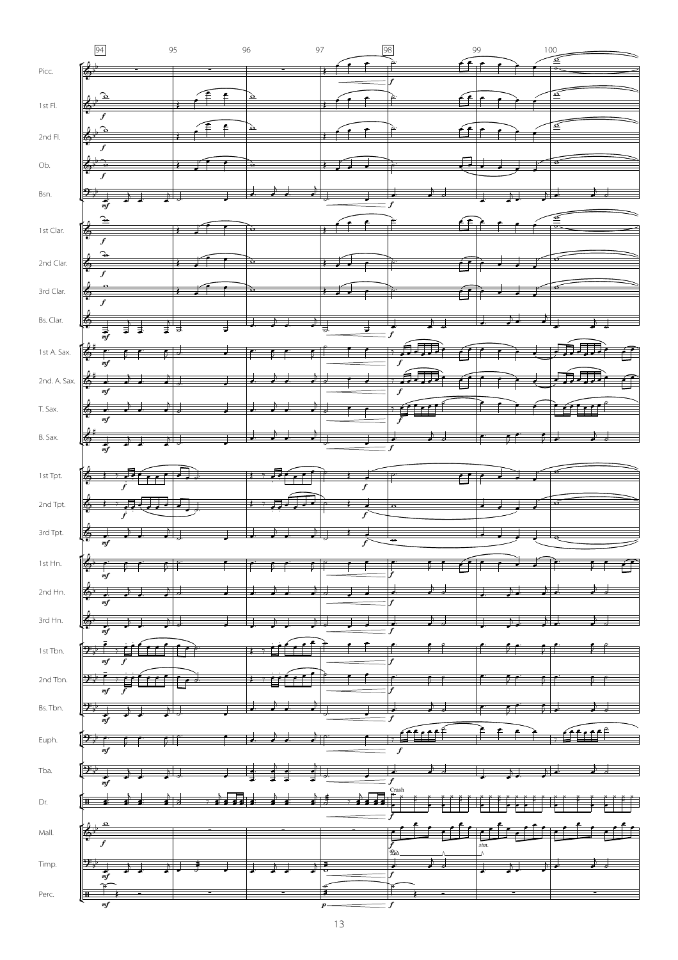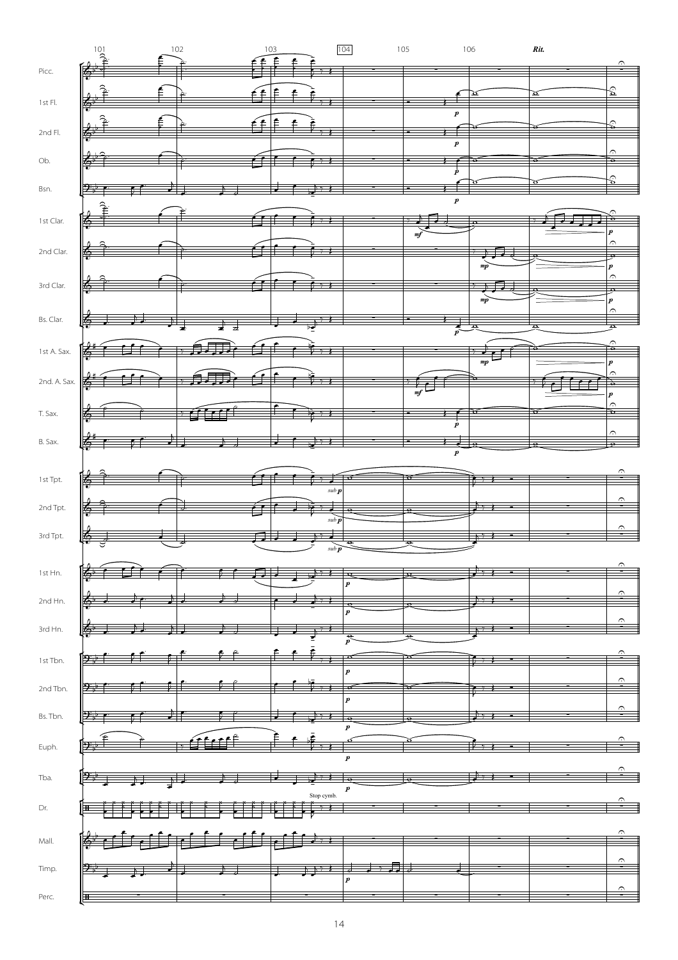|                                                                          | $\overbrace{\mathbb{P}}^{101}$                                                                                                                                                                                                                                                                                                                                                                                                                                     | 102                                                                                                                                           |                           | 104                                                     | $105$                                        | 106                     | Rit. |                              |
|--------------------------------------------------------------------------|--------------------------------------------------------------------------------------------------------------------------------------------------------------------------------------------------------------------------------------------------------------------------------------------------------------------------------------------------------------------------------------------------------------------------------------------------------------------|-----------------------------------------------------------------------------------------------------------------------------------------------|---------------------------|---------------------------------------------------------|----------------------------------------------|-------------------------|------|------------------------------|
| Picc.                                                                    | ⊯                                                                                                                                                                                                                                                                                                                                                                                                                                                                  |                                                                                                                                               | $\frac{103}{1}$           |                                                         |                                              |                         |      |                              |
|                                                                          |                                                                                                                                                                                                                                                                                                                                                                                                                                                                    |                                                                                                                                               | Éfl                       |                                                         |                                              |                         |      | ۵                            |
| $1$ st Fl. $\,$                                                          | $\begin{array}{c}\n\begin{array}{c}\n\uparrow \\ \uparrow \\ \uparrow\n\end{array}\n\end{array}$                                                                                                                                                                                                                                                                                                                                                                   |                                                                                                                                               |                           |                                                         |                                              | $\boldsymbol{p}$        |      |                              |
|                                                                          | $\frac{1}{\frac{1}{2}}$                                                                                                                                                                                                                                                                                                                                                                                                                                            |                                                                                                                                               | Éff                       |                                                         |                                              |                         |      |                              |
| 2nd Fl.                                                                  |                                                                                                                                                                                                                                                                                                                                                                                                                                                                    |                                                                                                                                               |                           |                                                         |                                              |                         |      |                              |
|                                                                          |                                                                                                                                                                                                                                                                                                                                                                                                                                                                    |                                                                                                                                               | $\epsilon$ if             |                                                         |                                              |                         |      |                              |
|                                                                          |                                                                                                                                                                                                                                                                                                                                                                                                                                                                    |                                                                                                                                               |                           |                                                         |                                              |                         |      |                              |
|                                                                          | $\mathbf{p}$                                                                                                                                                                                                                                                                                                                                                                                                                                                       |                                                                                                                                               |                           |                                                         |                                              |                         |      |                              |
|                                                                          |                                                                                                                                                                                                                                                                                                                                                                                                                                                                    |                                                                                                                                               |                           |                                                         |                                              |                         |      |                              |
| $1$ st Clar.                                                             | $\frac{2}{3}$                                                                                                                                                                                                                                                                                                                                                                                                                                                      |                                                                                                                                               | $\epsilon$ and $\epsilon$ | 5.7 <sup>2</sup>                                        | ट्टि                                         |                         |      |                              |
|                                                                          |                                                                                                                                                                                                                                                                                                                                                                                                                                                                    |                                                                                                                                               | $f$ in the $f$            | $\mathcal{L} \times \mathcal{L}$                        |                                              |                         |      |                              |
| $2$ nd Clar.                                                             | $\frac{1}{9}$                                                                                                                                                                                                                                                                                                                                                                                                                                                      |                                                                                                                                               |                           |                                                         |                                              |                         |      |                              |
| $3$ rd Clar.                                                             | $\frac{1}{2}$                                                                                                                                                                                                                                                                                                                                                                                                                                                      |                                                                                                                                               |                           |                                                         |                                              |                         |      |                              |
|                                                                          |                                                                                                                                                                                                                                                                                                                                                                                                                                                                    |                                                                                                                                               |                           |                                                         |                                              |                         |      |                              |
| Bs. Clar.                                                                |                                                                                                                                                                                                                                                                                                                                                                                                                                                                    |                                                                                                                                               |                           |                                                         |                                              |                         |      |                              |
|                                                                          | $\left[\begin{array}{ccc} 1 & 1 & 1 \\ 0 & 0 & 1 \end{array}\right]$                                                                                                                                                                                                                                                                                                                                                                                               |                                                                                                                                               |                           | $\frac{1}{\sqrt{2}}$                                    |                                              |                         |      |                              |
|                                                                          | 1st A. Sax. $\begin{bmatrix} \frac{\partial H}{\partial x} & \frac{\partial H}{\partial y} & \frac{\partial H}{\partial z} \\ \frac{\partial H}{\partial x} & \frac{\partial H}{\partial z} & \frac{\partial H}{\partial x} \end{bmatrix}$                                                                                                                                                                                                                         |                                                                                                                                               |                           |                                                         |                                              |                         |      |                              |
|                                                                          |                                                                                                                                                                                                                                                                                                                                                                                                                                                                    |                                                                                                                                               |                           |                                                         |                                              | $\frac{1}{\frac{mp}{}}$ |      |                              |
|                                                                          | 2nd. A. Sax. $\left \frac{2}{9}\right $                                                                                                                                                                                                                                                                                                                                                                                                                            |                                                                                                                                               | <u>tri r</u>              | アット                                                     | $\frac{1}{\frac{1}{\frac{1}{n}}\frac{1}{n}}$ |                         |      |                              |
|                                                                          |                                                                                                                                                                                                                                                                                                                                                                                                                                                                    |                                                                                                                                               |                           |                                                         |                                              |                         |      |                              |
| T. Sax.                                                                  |                                                                                                                                                                                                                                                                                                                                                                                                                                                                    | $\mathcal{C}$                                                                                                                                 |                           | $\frac{1}{2}$ , $\frac{1}{2}$                           |                                              | $\exists$ s $\epsilon$  |      | ৯                            |
|                                                                          |                                                                                                                                                                                                                                                                                                                                                                                                                                                                    |                                                                                                                                               |                           |                                                         |                                              |                         |      |                              |
|                                                                          | $\left[\begin{array}{ccc} \frac{\pi}{2} & \frac{\pi}{2} & \frac{\pi}{2} & \frac{\pi}{2} & \frac{\pi}{2} & \frac{\pi}{2} & \frac{\pi}{2} & \frac{\pi}{2} & \frac{\pi}{2} & \frac{\pi}{2} & \frac{\pi}{2} & \frac{\pi}{2} & \frac{\pi}{2} & \frac{\pi}{2} & \frac{\pi}{2} & \frac{\pi}{2} & \frac{\pi}{2} & \frac{\pi}{2} & \frac{\pi}{2} & \frac{\pi}{2} & \frac{\pi}{2} & \frac{\pi}{2} & \frac{\pi}{2} & \frac{\pi}{2} & \frac{\pi}{2} & \frac{\pi}{2} & \frac{\$ |                                                                                                                                               | $\overline{\phantom{a}}$  | म्ेे रे हे                                              |                                              | $\boldsymbol{p}$        |      |                              |
|                                                                          |                                                                                                                                                                                                                                                                                                                                                                                                                                                                    |                                                                                                                                               |                           |                                                         |                                              |                         |      |                              |
| 1st Tpt.                                                                 | 67                                                                                                                                                                                                                                                                                                                                                                                                                                                                 |                                                                                                                                               |                           | $\overline{\mathcal{C}}$<br>$\frac{1}{\sinh p}$         |                                              |                         |      |                              |
|                                                                          |                                                                                                                                                                                                                                                                                                                                                                                                                                                                    |                                                                                                                                               | ért                       |                                                         |                                              |                         |      | ٮ                            |
| 2nd Tpt.                                                                 |                                                                                                                                                                                                                                                                                                                                                                                                                                                                    |                                                                                                                                               |                           | $sub\mathbf{v}$                                         |                                              |                         |      |                              |
| $3\,$ rd Tpt.                                                            | ∲                                                                                                                                                                                                                                                                                                                                                                                                                                                                  |                                                                                                                                               | rj I.J                    |                                                         |                                              |                         |      |                              |
|                                                                          |                                                                                                                                                                                                                                                                                                                                                                                                                                                                    |                                                                                                                                               |                           | $sub$ $\overline{p}$                                    |                                              |                         |      |                              |
|                                                                          |                                                                                                                                                                                                                                                                                                                                                                                                                                                                    |                                                                                                                                               |                           |                                                         |                                              |                         |      |                              |
| $1$ st Hn.                                                               |                                                                                                                                                                                                                                                                                                                                                                                                                                                                    |                                                                                                                                               |                           |                                                         |                                              |                         |      | G                            |
|                                                                          |                                                                                                                                                                                                                                                                                                                                                                                                                                                                    |                                                                                                                                               |                           |                                                         |                                              |                         |      |                              |
|                                                                          |                                                                                                                                                                                                                                                                                                                                                                                                                                                                    |                                                                                                                                               |                           | $\frac{p}{f}$                                           |                                              | → →                     |      | Ć<br>÷                       |
|                                                                          |                                                                                                                                                                                                                                                                                                                                                                                                                                                                    |                                                                                                                                               |                           |                                                         |                                              |                         |      | ؞                            |
|                                                                          | 優                                                                                                                                                                                                                                                                                                                                                                                                                                                                  |                                                                                                                                               |                           |                                                         |                                              |                         |      |                              |
|                                                                          |                                                                                                                                                                                                                                                                                                                                                                                                                                                                    |                                                                                                                                               |                           |                                                         |                                              |                         |      | $\hat{\mathbb{C}}$<br>÷      |
|                                                                          | $9+1$                                                                                                                                                                                                                                                                                                                                                                                                                                                              |                                                                                                                                               |                           |                                                         |                                              |                         |      |                              |
|                                                                          | $\mathcal{P}^{\pm}$                                                                                                                                                                                                                                                                                                                                                                                                                                                |                                                                                                                                               |                           | $\frac{1}{\sqrt{2}}$ , $\frac{1}{\sqrt{2}}$<br>ᢛ        |                                              |                         |      | $\Omega$<br>Ξ                |
|                                                                          |                                                                                                                                                                                                                                                                                                                                                                                                                                                                    |                                                                                                                                               |                           |                                                         |                                              |                         |      | ٮ                            |
|                                                                          | $ 2 \nmid$                                                                                                                                                                                                                                                                                                                                                                                                                                                         |                                                                                                                                               |                           | $\boldsymbol{p}$                                        |                                              |                         |      |                              |
|                                                                          |                                                                                                                                                                                                                                                                                                                                                                                                                                                                    |                                                                                                                                               |                           |                                                         |                                              |                         |      |                              |
|                                                                          | ि ⊵                                                                                                                                                                                                                                                                                                                                                                                                                                                                | étrrf                                                                                                                                         |                           | $\boldsymbol{p}$                                        |                                              |                         |      |                              |
|                                                                          |                                                                                                                                                                                                                                                                                                                                                                                                                                                                    |                                                                                                                                               |                           |                                                         |                                              |                         |      |                              |
|                                                                          | ∣भ्≢                                                                                                                                                                                                                                                                                                                                                                                                                                                               |                                                                                                                                               |                           | $\pmb{p}$                                               |                                              |                         |      |                              |
| ⊫                                                                        |                                                                                                                                                                                                                                                                                                                                                                                                                                                                    |                                                                                                                                               |                           | Stop cymb.                                              |                                              |                         |      |                              |
|                                                                          |                                                                                                                                                                                                                                                                                                                                                                                                                                                                    |                                                                                                                                               |                           |                                                         |                                              |                         |      |                              |
|                                                                          | ⊯                                                                                                                                                                                                                                                                                                                                                                                                                                                                  | $\frac{1}{2}$ , $\frac{1}{2}$ , $\frac{1}{2}$ , $\frac{1}{2}$ , $\frac{1}{2}$ , $\frac{1}{2}$ , $\frac{1}{2}$ , $\frac{1}{2}$ , $\frac{1}{2}$ |                           |                                                         |                                              |                         |      | $\widehat{\phantom{a}}$<br>÷ |
| 2nd Hn.<br>3rd Hn.<br>1st Tbn.<br>2nd Tbn.<br>Bs. Tbn.<br>Euph.<br>Timp. |                                                                                                                                                                                                                                                                                                                                                                                                                                                                    |                                                                                                                                               |                           |                                                         |                                              |                         |      | $\hat{ }$                    |
|                                                                          | $2\frac{1}{2}$                                                                                                                                                                                                                                                                                                                                                                                                                                                     |                                                                                                                                               |                           | $\frac{1}{2}$ $\frac{1}{2}$ $\frac{1}{2}$ $\frac{1}{2}$ | 戸 。<br>$+$ $+$                               |                         |      | $\blacksquare$               |
|                                                                          | 표                                                                                                                                                                                                                                                                                                                                                                                                                                                                  |                                                                                                                                               |                           |                                                         |                                              |                         |      | $\hat{ }$                    |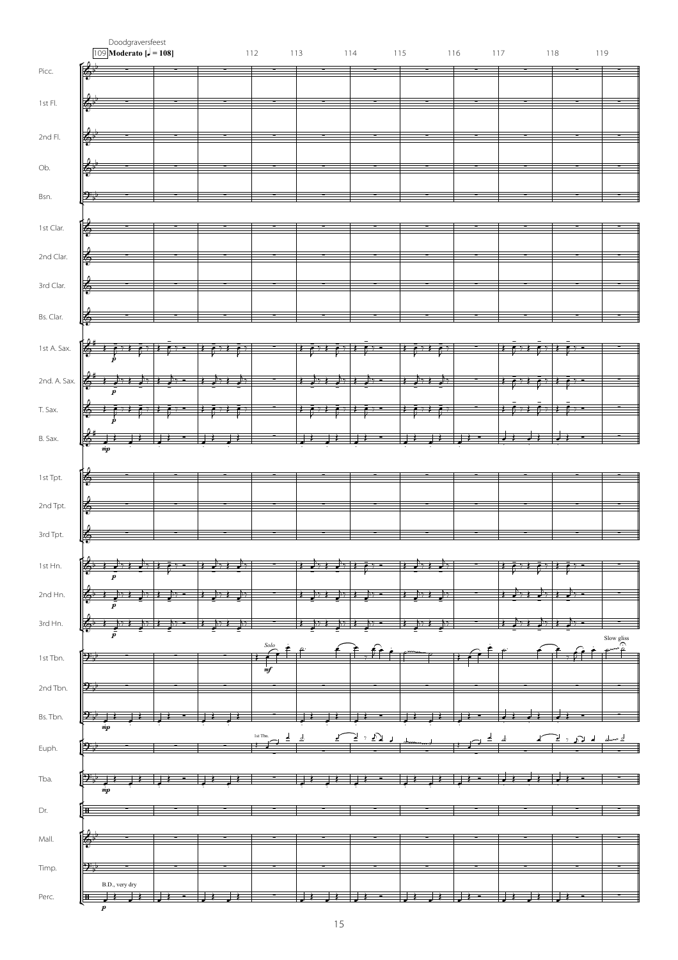|              |                         |                                          | Doodgraversfeest<br>109 <b>Moderato</b> [ $= 108$ ] |                             |                 |   |                                                         |                             | $112$         |                            |                                           | 113 |                                                                                     |    | 114              |        |               | 115 |   |                             |                                                         | 116 |        | 117 |                          |                                           | 118                         |                          |               | 119 |                             |  |
|--------------|-------------------------|------------------------------------------|-----------------------------------------------------|-----------------------------|-----------------|---|---------------------------------------------------------|-----------------------------|---------------|----------------------------|-------------------------------------------|-----|-------------------------------------------------------------------------------------|----|------------------|--------|---------------|-----|---|-----------------------------|---------------------------------------------------------|-----|--------|-----|--------------------------|-------------------------------------------|-----------------------------|--------------------------|---------------|-----|-----------------------------|--|
|              |                         |                                          |                                                     |                             |                 |   |                                                         |                             |               |                            |                                           |     |                                                                                     |    |                  |        |               |     |   |                             |                                                         |     |        |     |                          |                                           |                             |                          |               |     |                             |  |
|              | 6                       |                                          |                                                     |                             |                 |   |                                                         |                             |               |                            |                                           |     |                                                                                     |    |                  |        |               |     |   |                             |                                                         |     |        |     |                          |                                           |                             |                          |               |     |                             |  |
|              |                         |                                          |                                                     |                             |                 |   |                                                         |                             |               |                            |                                           |     |                                                                                     |    |                  |        |               |     |   |                             |                                                         |     |        |     |                          |                                           |                             |                          |               |     |                             |  |
|              |                         |                                          |                                                     |                             |                 |   |                                                         |                             |               |                            |                                           |     |                                                                                     |    |                  |        |               |     |   |                             |                                                         |     |        |     |                          |                                           |                             |                          |               |     |                             |  |
|              | ⊚                       |                                          |                                                     |                             |                 |   |                                                         |                             |               |                            |                                           |     |                                                                                     |    |                  |        |               |     |   |                             |                                                         |     |        |     |                          |                                           |                             |                          |               |     |                             |  |
|              | $\mathfrak{P}$          |                                          |                                                     |                             |                 |   |                                                         |                             |               |                            |                                           |     |                                                                                     |    |                  |        |               |     |   |                             |                                                         |     |        |     |                          |                                           |                             |                          |               |     |                             |  |
| 1st Clar.    | 6                       |                                          |                                                     |                             |                 |   |                                                         |                             |               |                            |                                           |     |                                                                                     |    |                  |        |               |     |   |                             |                                                         |     |        |     |                          |                                           |                             |                          |               |     |                             |  |
| 2nd Clar.    | 6                       |                                          |                                                     |                             |                 |   |                                                         |                             |               |                            |                                           |     |                                                                                     |    |                  |        |               |     |   |                             |                                                         |     |        |     |                          |                                           |                             |                          |               |     |                             |  |
| 3rd Clar.    | 6                       |                                          |                                                     |                             |                 |   |                                                         |                             |               |                            |                                           |     |                                                                                     |    |                  |        |               |     |   |                             |                                                         |     |        |     |                          |                                           |                             |                          |               |     |                             |  |
| Bs. Clar.    | 6                       |                                          |                                                     |                             |                 |   |                                                         |                             |               |                            |                                           |     |                                                                                     |    |                  |        |               |     |   |                             |                                                         |     |        |     |                          |                                           |                             |                          |               |     |                             |  |
| 1st A. Sax.  | €                       |                                          |                                                     |                             |                 |   |                                                         |                             |               |                            |                                           |     |                                                                                     |    |                  |        |               |     |   |                             |                                                         |     |        |     |                          |                                           |                             |                          |               |     |                             |  |
| 2nd. A. Sax. | 6                       |                                          |                                                     | $\rightarrow$               | $\rightarrow$   |   |                                                         |                             |               |                            |                                           |     |                                                                                     |    |                  |        |               |     | ⇉ |                             |                                                         |     |        |     |                          |                                           |                             |                          |               |     |                             |  |
|              | $\vec{\textbf{e}}$<br>⊕ |                                          |                                                     |                             |                 |   |                                                         |                             |               |                            |                                           |     |                                                                                     |    |                  |        |               |     | Ŧ |                             |                                                         |     |        |     |                          |                                           |                             |                          |               |     |                             |  |
|              | €                       |                                          |                                                     |                             |                 |   |                                                         |                             |               |                            |                                           |     |                                                                                     |    |                  |        |               |     |   |                             |                                                         |     |        |     | $\overline{\phantom{a}}$ |                                           |                             | $\rightarrow$ 1          |               |     |                             |  |
|              |                         | $\dot{m}p$                               |                                                     |                             |                 |   |                                                         |                             |               |                            |                                           |     |                                                                                     |    |                  |        |               |     |   |                             |                                                         |     |        |     |                          |                                           |                             |                          |               |     |                             |  |
| 1st Tpt.     | 6                       |                                          |                                                     |                             |                 |   |                                                         |                             |               |                            |                                           |     |                                                                                     |    |                  |        |               |     |   |                             |                                                         |     |        |     |                          |                                           |                             |                          |               |     |                             |  |
| 2nd Tpt.     | ❤                       |                                          |                                                     |                             |                 |   |                                                         |                             |               |                            |                                           |     |                                                                                     |    |                  |        |               |     |   |                             |                                                         |     |        |     |                          |                                           |                             |                          |               |     |                             |  |
| 3rd Tpt.     | 6                       |                                          |                                                     |                             |                 |   |                                                         |                             |               |                            |                                           |     |                                                                                     |    |                  |        |               |     |   |                             |                                                         |     |        |     |                          |                                           |                             |                          |               |     |                             |  |
| 1st Hn.      | $\overline{\bullet}$    | $\boldsymbol{p}$                         | 6:1:1:11                                            |                             |                 |   | $\rightarrow$ $\rightarrow$ $\rightarrow$ $\rightarrow$ |                             |               |                            |                                           |     | $\rightarrow$ $\rightarrow$ $\rightarrow$ $\rightarrow$ $\rightarrow$ $\rightarrow$ |    |                  | ₹      |               |     |   |                             | $\rightarrow$ $\rightarrow$ $\rightarrow$ $\rightarrow$ |     |        |     |                          |                                           |                             |                          |               |     |                             |  |
| 2nd Hn.      | $\mathbb{Q}^{\flat}$    | $\boldsymbol{p}$                         |                                                     | $\rightarrow$ $\rightarrow$ | $\rightarrow$ . |   |                                                         | $\rightarrow$ $\rightarrow$ | $\rightarrow$ |                            |                                           |     | $\rightarrow$ $\rightarrow$                                                         |    | $\rightarrow$ 1. |        | $\rightarrow$ |     | ₹ | $\rightarrow$ $\rightarrow$ | $\rightarrow$                                           |     |        |     | Ŧ                        | $\rightarrow$ $\rightarrow$ $\rightarrow$ | $\rightarrow$ $\rightarrow$ |                          | $\rightarrow$ |     |                             |  |
| 3rd Hn.      | ⊜                       | $\bar{p}$                                |                                                     |                             |                 |   |                                                         |                             | $\rightarrow$ |                            |                                           |     |                                                                                     |    |                  |        | ħΣ            |     |   |                             |                                                         |     |        |     |                          |                                           |                             | ∗                        |               |     |                             |  |
| 1st Tbn.     | $\mathcal{P}^+$         |                                          |                                                     |                             |                 |   |                                                         |                             |               | ⇉                          | $\overbrace{\phantom{aaaaa}}^{Solo}$<br>۴ |     |                                                                                     |    |                  |        |               |     |   |                             |                                                         |     |        |     |                          |                                           |                             |                          |               |     | Slow gliss<br>$\widehat{f}$ |  |
| 2nd Tbn.     | $2+$                    |                                          |                                                     |                             |                 |   |                                                         |                             |               | $\it mf$                   |                                           |     |                                                                                     |    |                  |        |               |     |   |                             |                                                         |     |        |     |                          |                                           |                             |                          |               |     |                             |  |
| Bs. Tbn.     | $2\,\rm{pc}$            |                                          |                                                     |                             |                 |   |                                                         |                             |               |                            |                                           |     |                                                                                     |    |                  |        |               |     |   |                             |                                                         |     |        |     |                          |                                           |                             | ⇁                        |               |     |                             |  |
|              |                         | $\dot{m}p$                               |                                                     |                             |                 |   |                                                         |                             |               | $1\,\mathrm{st}$ Tbn.<br>Ŧ | <u>≠</u>                                  | ৶   |                                                                                     |    |                  | 길      | , 7           |     |   |                             |                                                         |     |        |     |                          |                                           |                             |                          |               |     |                             |  |
|              | $\mathfrak{P}$          |                                          |                                                     |                             |                 |   |                                                         |                             |               |                            |                                           |     |                                                                                     |    |                  |        |               |     |   |                             |                                                         |     |        |     |                          |                                           |                             |                          |               |     |                             |  |
|              | $2_{\pm}$               | $\dot{m}p$                               |                                                     |                             |                 |   |                                                         |                             |               |                            |                                           |     |                                                                                     |    |                  |        |               |     |   |                             |                                                         |     |        |     | ⇁                        |                                           |                             | $\overline{\phantom{a}}$ |               |     |                             |  |
|              | 표                       |                                          |                                                     |                             |                 |   |                                                         |                             |               |                            |                                           |     |                                                                                     |    |                  |        |               |     |   |                             |                                                         |     |        |     |                          |                                           |                             |                          |               |     |                             |  |
|              | $\mathbb{C}^2$          |                                          |                                                     |                             |                 |   |                                                         |                             |               |                            |                                           |     |                                                                                     |    |                  |        |               |     |   |                             |                                                         |     |        |     |                          |                                           |                             |                          |               |     |                             |  |
|              | $\mathfrak{P}$          |                                          |                                                     |                             |                 |   |                                                         |                             |               |                            |                                           |     |                                                                                     |    |                  |        |               |     |   |                             |                                                         |     |        |     |                          |                                           |                             |                          |               |     |                             |  |
|              | Œ                       | B.D., very dry<br>≢₹<br>$\boldsymbol{p}$ |                                                     |                             | $\Box$          | ÷ | $\exists$                                               |                             |               |                            |                                           |     | ∃≢                                                                                  | ╶┸ |                  | $\Box$ | ÷             |     | ⊟ |                             | ┙┢                                                      |     | $\Box$ |     | $\Box$                   | ∃ ∤                                       |                             | $\pm$                    | Ξ             |     |                             |  |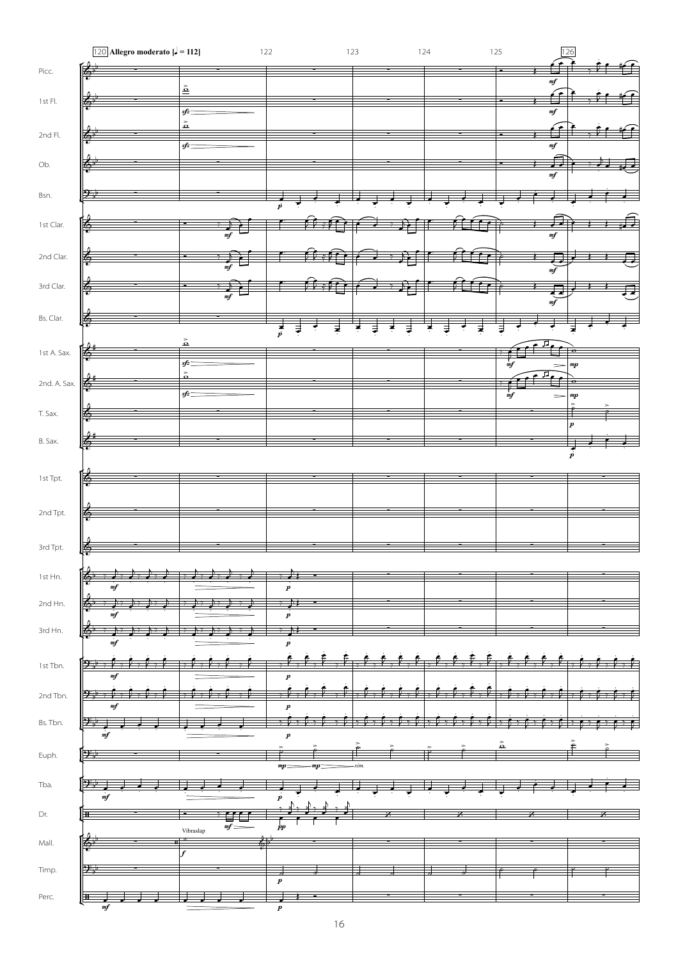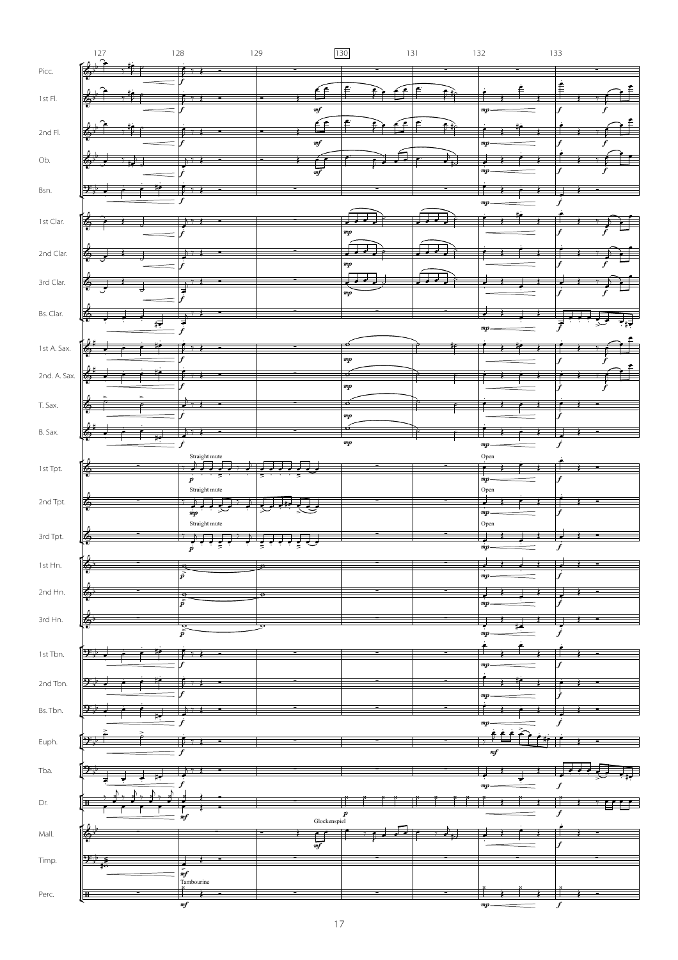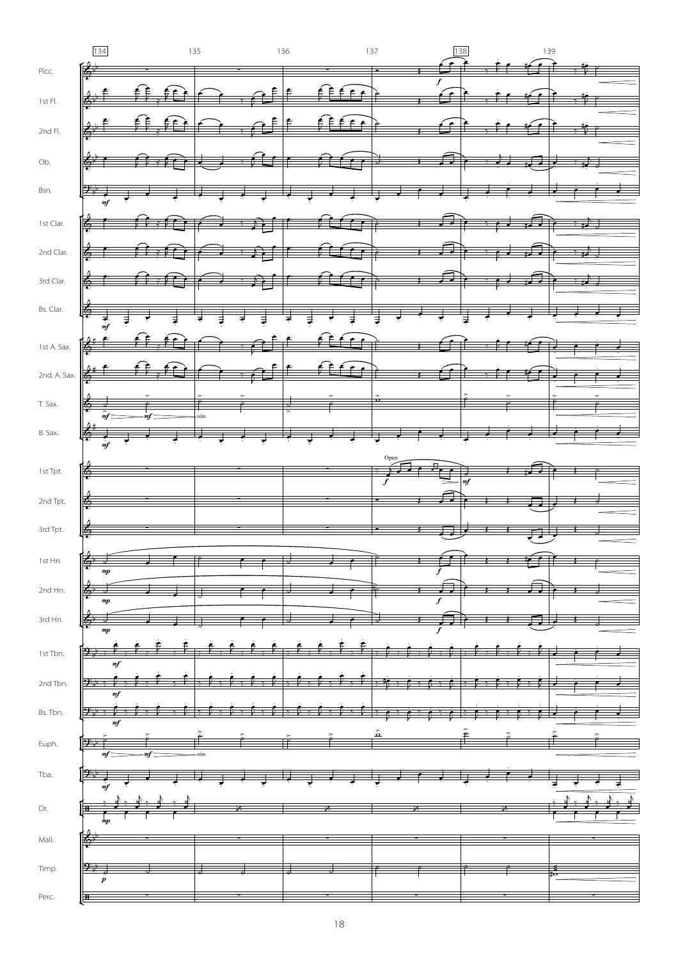|              | 134                                                                          | 135                          | 136               | 137                                                            |                          | 138        | 139 |
|--------------|------------------------------------------------------------------------------|------------------------------|-------------------|----------------------------------------------------------------|--------------------------|------------|-----|
| Picc.        | <del>∲</del>                                                                 |                              |                   |                                                                |                          |            |     |
| 1st Fl.      | $\frac{2}{6}$                                                                |                              | $ \hat{f} $       | $f$ if $f$ is a set of $f$                                     |                          |            |     |
| 2nd Fl.      | $\delta$                                                                     | 皇王                           | ÊÊ                | <u>FEFF</u>                                                    |                          |            |     |
| Ob.          | €                                                                            | ۵r                           | $\mathbf{r}$      | $\epsilon$ . The set of $\epsilon$<br>$\overline{\phantom{a}}$ | $\Box$                   | ヺ          |     |
| Bsn.         | $2\frac{1}{2}$                                                               |                              |                   |                                                                |                          |            |     |
| 1st Clar.    | $\epsilon$                                                                   |                              |                   |                                                                |                          |            |     |
| 2nd Clar.    | ∲                                                                            |                              |                   |                                                                | $\overline{\phantom{a}}$ | <u>, 7</u> |     |
| 3rd Clar.    | $\overline{\varphi}$                                                         |                              |                   | $\overline{\phantom{a}}$                                       | <del>する</del>            | "∍         |     |
| Bs. Clar.    | ķ.<br>$\overline{\overline{H}}_{\hspace{-0.5pt}m\hspace{-0.5pt}f}$<br>₹<br>↴ | ₹                            | Į<br>Ţ<br>ţ<br>ţ  | Ţ<br>ţ<br>₹                                                    | ţ                        | ₹          | ₹   |
| 1st A. Sax.  | 俸                                                                            |                              | $\frac{1}{2}$     | <u>fift</u>                                                    | Éf                       |            |     |
| 2nd. A. Sax. | 古                                                                            | ≄                            |                   | $\mathfrak{t}$ i                                               |                          |            |     |
| T. Sax.      | ≸<br>$\frac{1}{m}$                                                           | $\frac{1}{\sqrt{2}}$<br>sim. | $\overline{\rho}$ |                                                                |                          |            |     |
| B. Sax.      | €<br>$\frac{1}{m}$                                                           |                              | ₹                 | Ų<br>₹                                                         |                          |            |     |
| 1st Tpt.     | ∲                                                                            |                              |                   | $\frac{1}{\gamma}$                                             | Open                     | g.<br>mf   |     |
| 2nd Tpt.     | 6                                                                            |                              |                   |                                                                |                          |            |     |
| 3rd Tpt.     | ⊕                                                                            |                              |                   |                                                                |                          |            |     |
| $1$ st Hn.   | ∲<br>mp                                                                      |                              |                   |                                                                |                          |            |     |
| 2nd Hn.      | $\circ$<br>$\binom{mp}{2}$                                                   |                              |                   |                                                                | $\boldsymbol{f}$         |            |     |
| 3rd Hn.      | €<br>тp                                                                      |                              |                   |                                                                | $\hat{f}$                |            |     |
| $1$ st Tbn.  | $9+$<br>m f                                                                  |                              |                   |                                                                |                          |            |     |
| 2nd Tbn.     | <del>)</del><br>m f                                                          |                              |                   |                                                                |                          |            |     |
| Bs. Tbn.     | m f                                                                          |                              |                   |                                                                |                          |            |     |
| Euph.        | 9∌                                                                           | sim.                         |                   | <u>هَ</u>                                                      |                          |            |     |
| Tba.         | mf                                                                           |                              |                   |                                                                |                          |            |     |
| Dr.          | H                                                                            |                              |                   |                                                                |                          |            |     |
| Mall.        | 6                                                                            |                              |                   |                                                                |                          |            |     |
| Timp.        | $\mathfrak{P}$<br>$\boldsymbol{p}$                                           |                              |                   |                                                                |                          |            |     |
| Perc.        | 正                                                                            |                              |                   |                                                                |                          |            |     |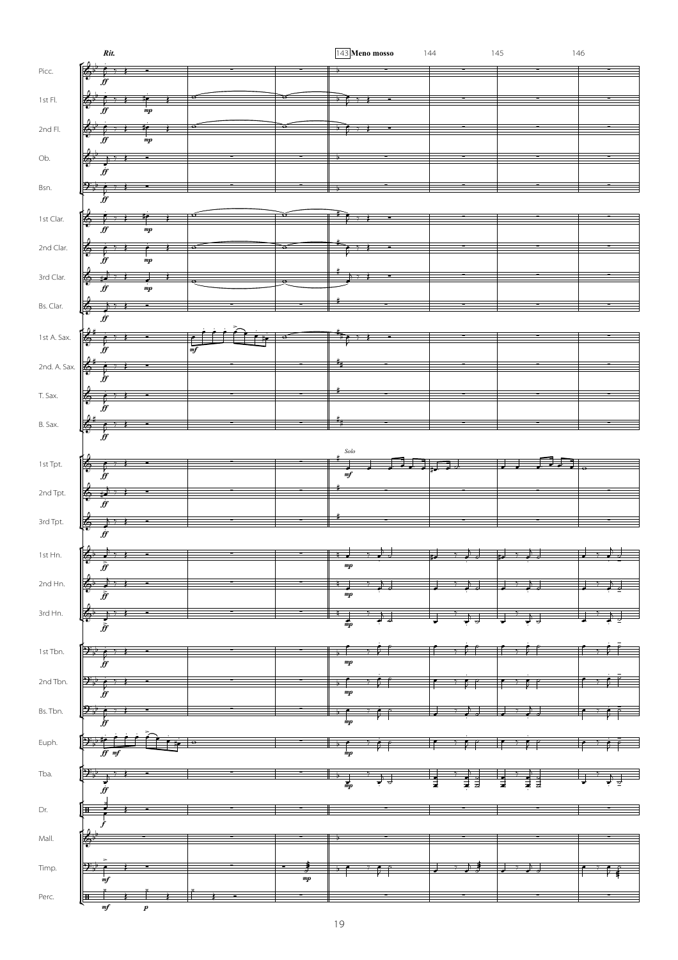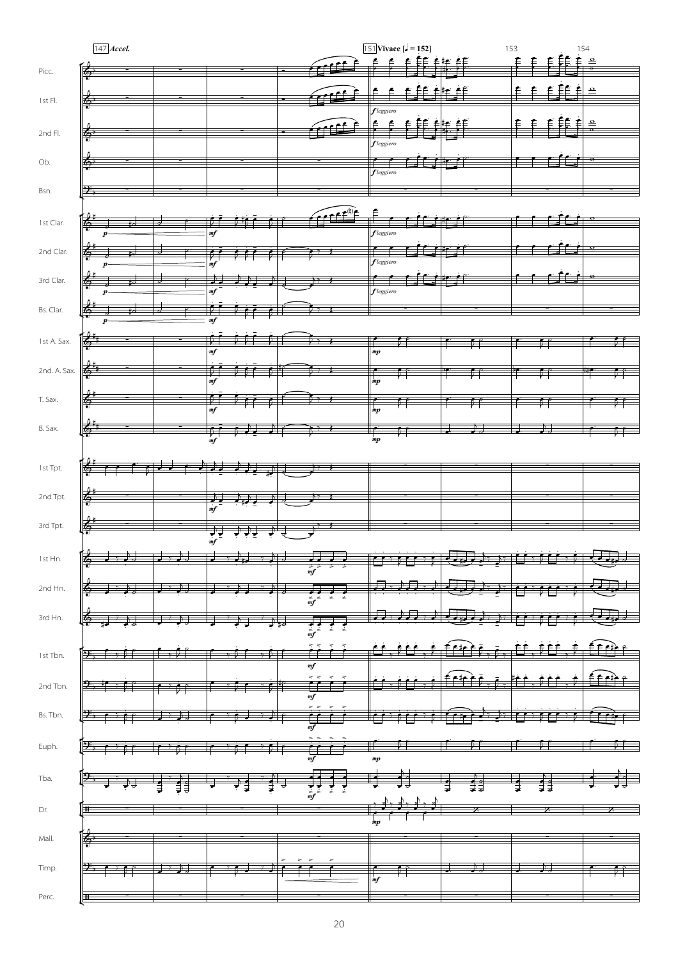| $\boxed{147}$ Accel.                                                                                             |                                            |                                                                                                                        | [151] Vivace $[3] = 152$ ]                                      |                          | 153<br>154                    |               |
|------------------------------------------------------------------------------------------------------------------|--------------------------------------------|------------------------------------------------------------------------------------------------------------------------|-----------------------------------------------------------------|--------------------------|-------------------------------|---------------|
| 6                                                                                                                |                                            |                                                                                                                        | 自主性自<br>£<br>€                                                  |                          | €                             | $\triangleq$  |
| $\overline{\mathbb{Q}}$                                                                                          |                                            |                                                                                                                        | <u>r frier fr</u><br>₽                                          |                          | ∰ Ê<br>₤<br>£<br>$\mathbf{f}$ | $\triangleq$  |
|                                                                                                                  |                                            |                                                                                                                        | $f$ leggiero<br><u>r frim fr</u><br>₽<br>€                      |                          | ≸€€<br>₿<br>₽<br>₿            | $\triangleq$  |
| $\Phi$                                                                                                           |                                            |                                                                                                                        | $f$ leggiero                                                    |                          |                               |               |
| $\overline{\mathbb{C}}$                                                                                          |                                            |                                                                                                                        | $f$ leggiero                                                    | $\overline{\phantom{a}}$ |                               |               |
| Э,                                                                                                               |                                            |                                                                                                                        |                                                                 |                          |                               |               |
| 軬                                                                                                                |                                            |                                                                                                                        | ┋                                                               | r le                     |                               |               |
| mf                                                                                                               |                                            |                                                                                                                        | $f$ leggiero                                                    |                          |                               |               |
| $\phi^*$<br>2nd Clar.<br>$\frac{1}{\frac{1}{m_f}}$                                                               |                                            |                                                                                                                        | <b>116</b><br>$f$ leggiero                                      |                          |                               |               |
| $\phi^*$<br>mf                                                                                                   |                                            |                                                                                                                        | −<br>$\sim$                                                     |                          |                               |               |
|                                                                                                                  |                                            |                                                                                                                        | $f$ leggiero                                                    |                          |                               |               |
|                                                                                                                  |                                            |                                                                                                                        |                                                                 |                          |                               |               |
| $\frac{1}{2}$<br>64<br>1st A. Sax.<br>$\it mf$                                                                   |                                            |                                                                                                                        | 6 P<br>$\boldsymbol{m}\boldsymbol{p}$                           |                          |                               |               |
| 2nd. A. Sax.<br>6<br>m f                                                                                         |                                            |                                                                                                                        | $\mathfrak{f} \mathfrak{f}$<br>$\frac{1}{mp}$                   |                          |                               | ਿੰ            |
| 畚                                                                                                                |                                            |                                                                                                                        | $\mathfrak{p}$ $\mathfrak{p}$                                   |                          |                               |               |
| m f                                                                                                              |                                            |                                                                                                                        | $\frac{1}{mp}$                                                  |                          |                               |               |
| $\frac{1}{\frac{1}{m_f}}$                                                                                        |                                            |                                                                                                                        | ۴<br>$\overline{\mathfrak{h}^{\mathfrak{e}}}$<br>$\frac{1}{mp}$ |                          |                               | 乊             |
| $\rightarrow$<br>–•<br>$\overline{\phantom{a}}$                                                                  | $\rightarrow$                              |                                                                                                                        |                                                                 |                          |                               |               |
|                                                                                                                  |                                            |                                                                                                                        |                                                                 |                          |                               |               |
| $\frac{1}{\frac{1}{m_f}}$                                                                                        | →                                          |                                                                                                                        |                                                                 |                          |                               |               |
| ₹₹<br>$\dot{\mathit{mf}}$                                                                                        |                                            |                                                                                                                        |                                                                 |                          |                               |               |
| $\overrightarrow{J}$ , $\overrightarrow{J}$<br>$\rightarrow$ ))<br>16                                            | $\frac{1}{2}$ , $\frac{1}{2}$              | $\frac{1}{\frac{1}{2} \cdot \frac{1}{2} \cdot \frac{1}{2}}$<br>∙<br>چ                                                  | 11777777                                                        |                          |                               |               |
| $\rightarrow$ , $\rightarrow$<br>∲                                                                               | $\rightarrow$<br>$\Box$                    |                                                                                                                        | $\sqrt{2}$ , $\sqrt{2}$ , $\sqrt{2}$                            | すね                       | $f'$ is finite                |               |
|                                                                                                                  |                                            | $\frac{1}{\frac{1}{2} \cdot \frac{1}{2} \cdot \frac{1}{2}}$                                                            |                                                                 |                          |                               |               |
| է∲                                                                                                               |                                            | $\begin{array}{c}\n\overrightarrow{f} \\ \overrightarrow{f} \\ \overrightarrow{f}\n\end{array}$<br>$\ddot{\ddot{\xi}}$ | J, J, J, J                                                      |                          |                               |               |
| $\uparrow \uparrow \uparrow \uparrow \uparrow \uparrow \uparrow \uparrow \uparrow \uparrow \uparrow$<br> 2, 1, 1 |                                            | $\ddot{\cdot}$                                                                                                         |                                                                 | fr                       |                               |               |
|                                                                                                                  | $\it mf$                                   |                                                                                                                        |                                                                 | ffri                     |                               |               |
| $2+1$<br>$\rightarrow$ 0 $^{\circ}$<br>2nd Tbn.                                                                  | $\rightarrow$ 6 $^{16}$<br>$\overline{mf}$ | $\ddot{\phantom{1}}$                                                                                                   |                                                                 |                          |                               |               |
| ユー<br>$^7$ 6 $^{\circ}$                                                                                          | mf                                         | ĊĖ                                                                                                                     |                                                                 |                          |                               |               |
| ∣भ्र<br>$\rightarrow$ $5$ $\in$                                                                                  | 76f<br>$\rightarrow$ 6                     |                                                                                                                        |                                                                 |                          | ₽                             | $\gamma$ $=$  |
|                                                                                                                  |                                            | $\frac{1}{\frac{df}{}}$                                                                                                | $\it mp$                                                        |                          |                               |               |
| ∣≫                                                                                                               |                                            | $\frac{1}{\sqrt{2}}$                                                                                                   | Ų                                                               | ई≹                       |                               | $\frac{1}{2}$ |
| ≖                                                                                                                |                                            |                                                                                                                        | <del>׀֖֖֖֖֖֖֖֖֖֖֖֖֖֖֟֟֟֟֕֟֟֟֟֟֟֕֕֕֕֕֕</del><br>׀ <del>֟</del>   |                          |                               | z             |
| $\Phi$                                                                                                           |                                            |                                                                                                                        | $\dot{m}p$                                                      |                          |                               |               |
|                                                                                                                  |                                            |                                                                                                                        |                                                                 |                          |                               |               |
| $\mathcal{P}_{\mathbb{R}}$<br>$\Box$ $\Box$<br>766                                                               | —े ह                                       |                                                                                                                        | $\frac{1}{\eta f}$                                              |                          |                               | م م           |
| ⊫                                                                                                                |                                            |                                                                                                                        |                                                                 |                          |                               |               |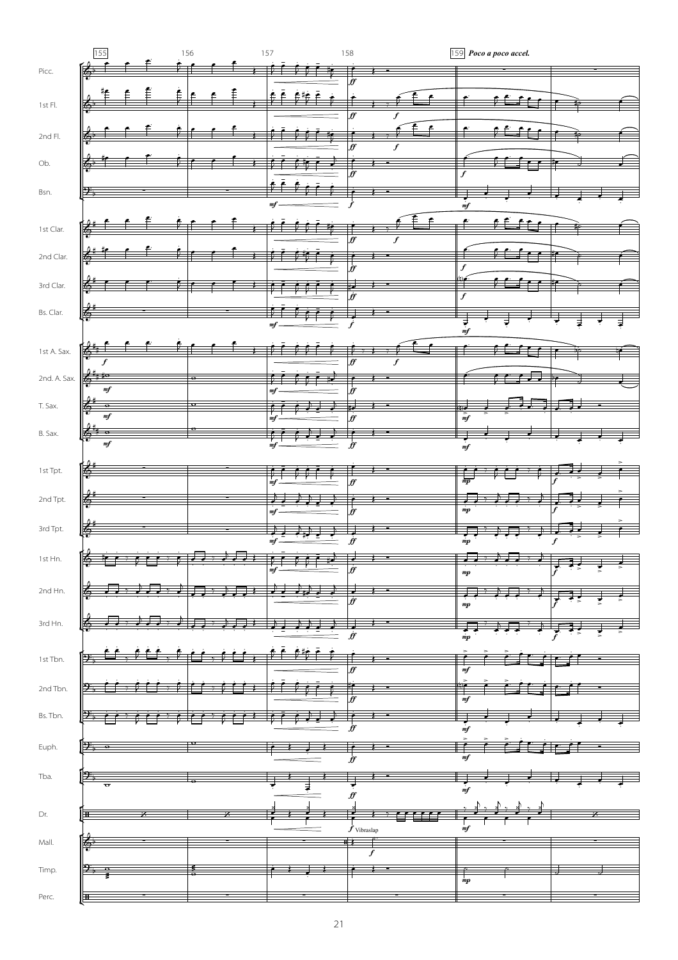|              | 155                                    | 156             | 157                        | 158                               | [159] Poco a poco accel.                                                                                                                                                                                                                                                                                                                                                                                                                      |
|--------------|----------------------------------------|-----------------|----------------------------|-----------------------------------|-----------------------------------------------------------------------------------------------------------------------------------------------------------------------------------------------------------------------------------------------------------------------------------------------------------------------------------------------------------------------------------------------------------------------------------------------|
| Picc.        | 6                                      |                 |                            |                                   |                                                                                                                                                                                                                                                                                                                                                                                                                                               |
|              |                                        |                 |                            | ff                                |                                                                                                                                                                                                                                                                                                                                                                                                                                               |
|              |                                        |                 | 车特                         |                                   |                                                                                                                                                                                                                                                                                                                                                                                                                                               |
| 1st Fl.      |                                        |                 |                            | ff<br>$\boldsymbol{f}$            |                                                                                                                                                                                                                                                                                                                                                                                                                                               |
|              |                                        |                 |                            |                                   |                                                                                                                                                                                                                                                                                                                                                                                                                                               |
| 2nd Fl.      |                                        |                 |                            | $\mathcal{F}_{\mathcal{L}}$<br>ff |                                                                                                                                                                                                                                                                                                                                                                                                                                               |
|              |                                        |                 |                            |                                   |                                                                                                                                                                                                                                                                                                                                                                                                                                               |
| Ob.          | 6                                      |                 |                            | ff                                | $\boldsymbol{f}$                                                                                                                                                                                                                                                                                                                                                                                                                              |
|              | <u>9.</u>                              |                 |                            |                                   |                                                                                                                                                                                                                                                                                                                                                                                                                                               |
| Bsn.         |                                        |                 | mf                         |                                   | $_{mf}$                                                                                                                                                                                                                                                                                                                                                                                                                                       |
|              |                                        |                 |                            |                                   |                                                                                                                                                                                                                                                                                                                                                                                                                                               |
| 1st Clar.    |                                        |                 |                            |                                   |                                                                                                                                                                                                                                                                                                                                                                                                                                               |
|              |                                        |                 |                            | $\boldsymbol{f}$<br>ff            |                                                                                                                                                                                                                                                                                                                                                                                                                                               |
| 2nd Clar.    | 6                                      |                 |                            |                                   |                                                                                                                                                                                                                                                                                                                                                                                                                                               |
|              |                                        |                 |                            |                                   | $\boldsymbol{f}$                                                                                                                                                                                                                                                                                                                                                                                                                              |
| 3rd Clar.    | 6                                      |                 |                            |                                   |                                                                                                                                                                                                                                                                                                                                                                                                                                               |
|              |                                        |                 |                            |                                   | $\boldsymbol{f}$                                                                                                                                                                                                                                                                                                                                                                                                                              |
| Bs. Clar.    | $\epsilon$                             |                 |                            |                                   | ₹                                                                                                                                                                                                                                                                                                                                                                                                                                             |
|              |                                        |                 | mf                         |                                   | mf                                                                                                                                                                                                                                                                                                                                                                                                                                            |
| 1st A. Sax.  | 6                                      |                 |                            |                                   |                                                                                                                                                                                                                                                                                                                                                                                                                                               |
|              |                                        |                 |                            | $\boldsymbol{f}$<br>ff            |                                                                                                                                                                                                                                                                                                                                                                                                                                               |
| 2nd. A. Sax. | $\frac{2}{5}$                          |                 |                            |                                   |                                                                                                                                                                                                                                                                                                                                                                                                                                               |
|              | mf                                     |                 | m f                        |                                   |                                                                                                                                                                                                                                                                                                                                                                                                                                               |
| T. Sax.      | $\overline{\bullet}$<br>$\bullet$      | $\bullet$       |                            |                                   |                                                                                                                                                                                                                                                                                                                                                                                                                                               |
|              | m f                                    |                 | $\int\limits_{mf}$         | ff                                | $\frac{1}{m}$                                                                                                                                                                                                                                                                                                                                                                                                                                 |
| B. Sax.      | $\frac{2}{9}$<br>$\overline{\bullet}$  | o               | $\int\limits_{mf}$         |                                   |                                                                                                                                                                                                                                                                                                                                                                                                                                               |
|              | $\overline{\mathit{mf}}$               |                 |                            | jf                                | $\frac{1}{\frac{1}{m f}}$                                                                                                                                                                                                                                                                                                                                                                                                                     |
|              | €                                      |                 |                            |                                   |                                                                                                                                                                                                                                                                                                                                                                                                                                               |
| $1$ st Tpt.  |                                        |                 | $\frac{1}{m}$              | ff                                | $\frac{1}{mp}$                                                                                                                                                                                                                                                                                                                                                                                                                                |
|              |                                        |                 |                            |                                   |                                                                                                                                                                                                                                                                                                                                                                                                                                               |
| 2nd Tpt.     | $\zeta$                                |                 | ≠<br>mf                    |                                   | ≢<br>$\frac{1}{mp}$                                                                                                                                                                                                                                                                                                                                                                                                                           |
|              |                                        |                 |                            |                                   |                                                                                                                                                                                                                                                                                                                                                                                                                                               |
| 3rd Tpt.     | 6                                      |                 | इ<br>$\dot{\mathit{mf}}$ – | ff                                | $\frac{1}{\dot{m}p}$                                                                                                                                                                                                                                                                                                                                                                                                                          |
|              | r 2                                    |                 | $\overline{\cdot}$ .       |                                   | $\overline{\phantom{a}}$ , $\overline{\phantom{a}}$ , $\overline{\phantom{a}}$ , $\overline{\phantom{a}}$ , $\overline{\phantom{a}}$ , $\overline{\phantom{a}}$ , $\overline{\phantom{a}}$ , $\overline{\phantom{a}}$ , $\overline{\phantom{a}}$ , $\overline{\phantom{a}}$ , $\overline{\phantom{a}}$ , $\overline{\phantom{a}}$ , $\overline{\phantom{a}}$ , $\overline{\phantom{a}}$ , $\overline{\phantom{a}}$ , $\overline{\phantom{a}}$ |
| 1st Hn.      | ⊕                                      | <del>2773</del> | $\frac{1}{m}$              | $\dot{\vec{y}}$                   |                                                                                                                                                                                                                                                                                                                                                                                                                                               |
|              |                                        |                 |                            |                                   | $\sqrt{np}$                                                                                                                                                                                                                                                                                                                                                                                                                                   |
| 2nd Hn.      | 6                                      |                 |                            | Ĥ                                 |                                                                                                                                                                                                                                                                                                                                                                                                                                               |
|              |                                        |                 |                            |                                   | $\dot{m}$                                                                                                                                                                                                                                                                                                                                                                                                                                     |
| 3rd Hn.      | $\frac{1}{2}$                          |                 |                            |                                   |                                                                                                                                                                                                                                                                                                                                                                                                                                               |
|              |                                        |                 |                            | Ĵf                                | $\equiv \frac{1}{mp}$                                                                                                                                                                                                                                                                                                                                                                                                                         |
| $1$ st Tbn.  | 9,                                     |                 | f.<br>峅<br>÷               |                                   |                                                                                                                                                                                                                                                                                                                                                                                                                                               |
|              |                                        |                 |                            | ff                                | m f                                                                                                                                                                                                                                                                                                                                                                                                                                           |
| 2nd Tbn.     | ウェ                                     |                 |                            |                                   |                                                                                                                                                                                                                                                                                                                                                                                                                                               |
|              |                                        |                 |                            | ij                                | m f                                                                                                                                                                                                                                                                                                                                                                                                                                           |
| Bs. Tbn.     |                                        |                 |                            |                                   |                                                                                                                                                                                                                                                                                                                                                                                                                                               |
|              |                                        |                 |                            | jf                                | $\dot{\mathit{mf}}$                                                                                                                                                                                                                                                                                                                                                                                                                           |
| Euph.        | $\mathcal{P}_\mathcal{F}$<br>$\bullet$ |                 |                            |                                   |                                                                                                                                                                                                                                                                                                                                                                                                                                               |
|              |                                        |                 |                            | ff                                | m f                                                                                                                                                                                                                                                                                                                                                                                                                                           |
| Tba.         | $\mathbf{2}_{\flat}$                   |                 |                            |                                   |                                                                                                                                                                                                                                                                                                                                                                                                                                               |
|              |                                        |                 | ⋣                          |                                   | $\dot{\mathit{mf}}$                                                                                                                                                                                                                                                                                                                                                                                                                           |
|              |                                        |                 |                            | ff                                |                                                                                                                                                                                                                                                                                                                                                                                                                                               |
| Dr.          | Œ                                      |                 |                            | z                                 |                                                                                                                                                                                                                                                                                                                                                                                                                                               |
|              |                                        |                 |                            | $f$ Vibraslap                     | $\mathbf{m}$                                                                                                                                                                                                                                                                                                                                                                                                                                  |
| Mall.        | $\overline{\bullet}$                   |                 |                            | ∎⊟⊁<br>$\boldsymbol{f}$           |                                                                                                                                                                                                                                                                                                                                                                                                                                               |
|              |                                        |                 |                            |                                   |                                                                                                                                                                                                                                                                                                                                                                                                                                               |
| Timp.        | ソリ                                     | 3               |                            |                                   | $\frac{1}{mp}$                                                                                                                                                                                                                                                                                                                                                                                                                                |
|              |                                        |                 |                            |                                   |                                                                                                                                                                                                                                                                                                                                                                                                                                               |
| Perc.        | 표                                      |                 |                            |                                   |                                                                                                                                                                                                                                                                                                                                                                                                                                               |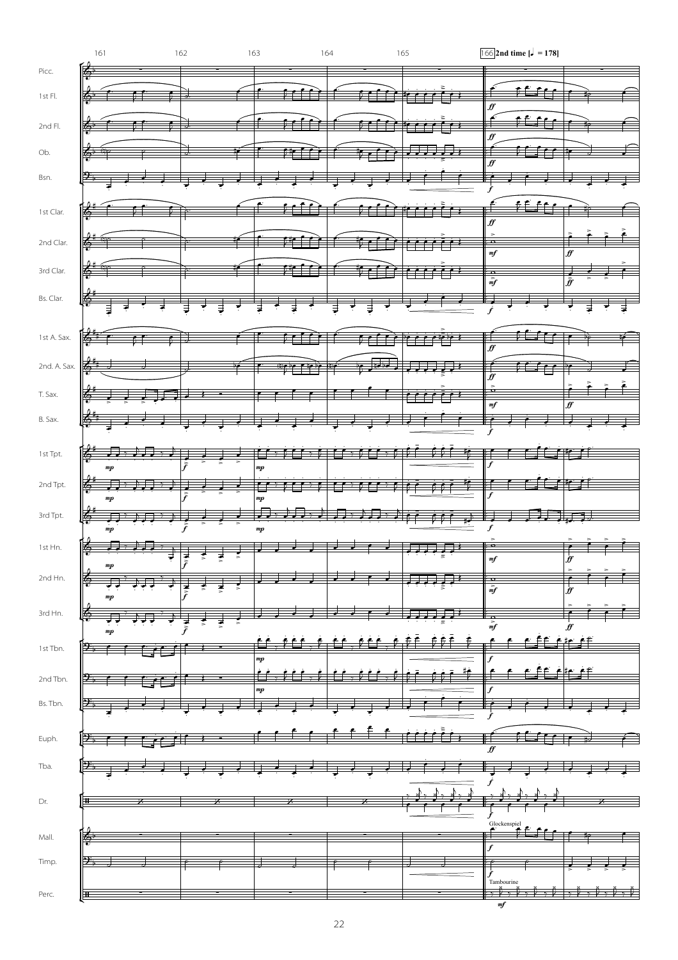|              | 161                                                    | 162                        | 163                            | 164                 | 165           |              | $[166]$ 2nd time $[3] = 178]$               |                   |
|--------------|--------------------------------------------------------|----------------------------|--------------------------------|---------------------|---------------|--------------|---------------------------------------------|-------------------|
| Picc.        | €                                                      |                            |                                |                     |               |              |                                             |                   |
| 1 st Fl.     | 6                                                      |                            |                                |                     |               | ⊆            | ff                                          |                   |
| 2nd Fl.      | 6                                                      |                            |                                |                     |               | $\cdots$     |                                             |                   |
| Ob.          | 6<br>$\oplus$                                          |                            |                                |                     |               |              | $f\hspace{-0.1cm}f$<br>f f                  |                   |
| Bsn.         | 2,                                                     |                            |                                |                     |               |              |                                             |                   |
| 1st Clar.    |                                                        |                            |                                |                     |               | $\leftarrow$ | ₽                                           |                   |
| 2nd Clar.    | ♦                                                      |                            |                                |                     |               | r Frit       | $f\hspace{-0.1cm}f$<br>$\overline{\bullet}$ |                   |
| 3rd Clar.    | 6                                                      |                            |                                | 住<br>عاترا          | ۳             | rrret<br>←   | mf<br>$\overline{\bullet}$                  | ∯<br>₹            |
| Bs. Clar.    | 俸                                                      |                            |                                |                     |               |              | $\frac{1}{m}$                               | $\check{\bar{f}}$ |
|              |                                                        |                            |                                |                     |               |              |                                             | ₹                 |
| 1st A. Sax.  | $\frac{1}{6}$                                          |                            |                                |                     |               | حوحوا        | ff                                          |                   |
| 2nd. A. Sax. | $\phi$ :                                               |                            |                                | $\bigoplus$<br>موما | مزامرا        |              | $\dot{f}$                                   |                   |
| T. Sax.      | 蓐                                                      |                            |                                |                     |               |              | $\frac{>}{\alpha}$<br>mf                    | ff                |
| B. Sax.      | €                                                      |                            |                                |                     |               |              |                                             |                   |
| 1st Tpt.     | $\ell$<br>J J<br>mp                                    | $\cdot$ ) $\Box$ $\cdot$ ) | ∙<br>mp                        |                     |               |              |                                             |                   |
| 2nd Tpt.     | 偉                                                      |                            |                                |                     |               |              |                                             | r tr              |
| 3rd Tpt.     | mр<br>€                                                |                            | mp<br>$\overline{\phantom{a}}$ | ر ر                 |               |              |                                             |                   |
| 1st Hn.      | ∲                                                      | ₹<br>⋥                     | $\boldsymbol{m}$<br>⋣          |                     |               | J            | $\mathbf{\Omega}$                           |                   |
| 2nd Hn.      | $_{\it mp}$<br>ó                                       | $\tilde{f}$                |                                |                     |               |              | т <del>у</del><br>$\mathbf{\Omega}$         | IJ                |
|              | mр                                                     |                            |                                |                     |               |              | $\frac{2}{m}$                               | ∯                 |
| 3rd Hn.      | $\epsilon$<br>$_{mp}$                                  |                            |                                |                     |               | ≢            | $\stackrel{\sim}{\mathit{mf}}$              | ff                |
| 1st Tbn.     | יל                                                     | ≏<br>æ                     | $\sqrt{np}$                    |                     |               | 丰            |                                             | <u># 12</u>       |
| 2nd Tbn.     | ン。                                                     |                            | $\it mp$                       |                     | $\rightarrow$ |              |                                             | ≐                 |
| Bs. Tbn.     | フ                                                      |                            |                                |                     |               |              |                                             |                   |
| Euph.        | $\mathbf{\mathfrak{p}}$                                |                            |                                |                     |               | $\geq$       | f f                                         |                   |
| Tba.         | ン                                                      |                            |                                |                     |               |              |                                             |                   |
| Dr.          | Ŧ                                                      | 7.                         |                                |                     |               |              | f                                           |                   |
|              |                                                        |                            |                                |                     |               |              | Glockenspiel                                |                   |
| Mall.        | $\overline{\Phi}$<br>$\mathfrak{D}_{\overline{\flat}}$ |                            |                                |                     |               |              |                                             |                   |
| Timp.        |                                                        |                            |                                |                     |               |              | Tambourine                                  |                   |
| Perc.        | X                                                      |                            |                                |                     |               |              | $\rightarrow$<br>$\cdot$<br>$\it mf$        |                   |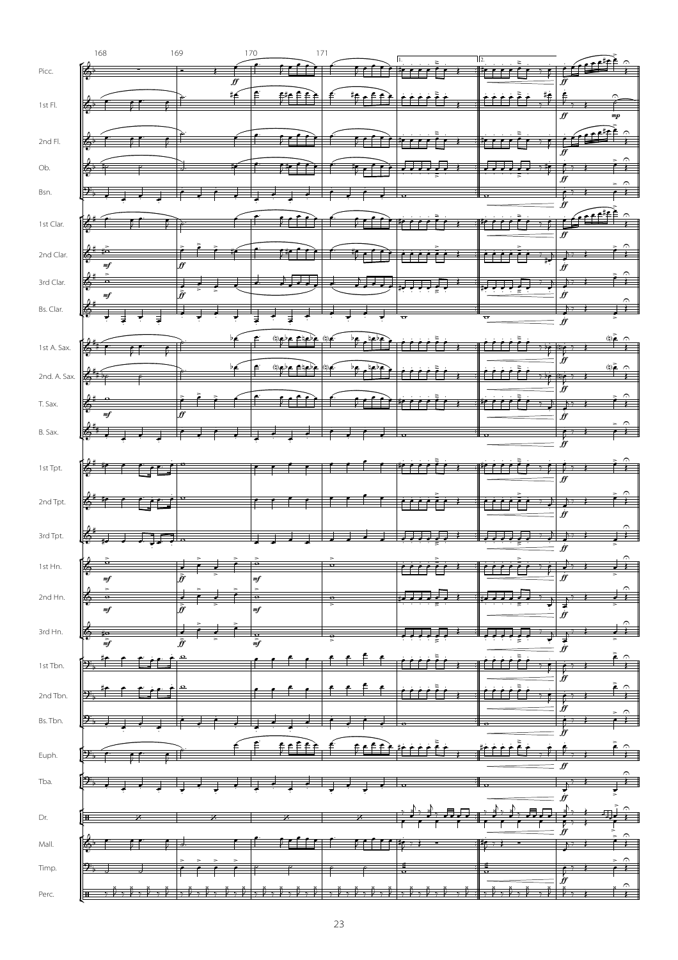|              | 168                            | 169<br>170               | 171                              |                  |                          | 2.                   |                                                                         |
|--------------|--------------------------------|--------------------------|----------------------------------|------------------|--------------------------|----------------------|-------------------------------------------------------------------------|
| Picc.        | 嚕                              |                          |                                  |                  |                          |                      |                                                                         |
|              |                                | f f                      |                                  |                  |                          |                      |                                                                         |
|              |                                | π≃                       | €<br>許手手                         | f<br>墏           |                          | 墏                    |                                                                         |
| 1st Fl.      | 6                              |                          |                                  |                  |                          |                      |                                                                         |
|              |                                |                          |                                  |                  |                          |                      | f f<br>$_{mp}$                                                          |
|              |                                |                          |                                  |                  | <u>Le lie e e e</u>      |                      |                                                                         |
| 2nd Fl.      |                                |                          |                                  |                  |                          |                      |                                                                         |
| Ob.          |                                |                          |                                  |                  | $\overline{\phantom{a}}$ |                      | ؞                                                                       |
|              | 6                              |                          |                                  |                  |                          |                      | ∯                                                                       |
| Bsn.         | 2,                             |                          |                                  |                  |                          |                      | $\overline{\cdot}$                                                      |
|              |                                |                          |                                  |                  |                          |                      |                                                                         |
|              | $\mathcal{L}^1$                |                          |                                  |                  |                          |                      |                                                                         |
| $1$ st Clar. |                                |                          |                                  |                  |                          |                      | ∯                                                                       |
|              |                                |                          |                                  |                  |                          |                      |                                                                         |
| 2nd Clar.    | $\frac{2}{6}$                  |                          |                                  |                  |                          |                      | ÷.                                                                      |
|              | mf                             | ff                       |                                  |                  |                          |                      | $\widehat{\cdot}$                                                       |
| 3rd Clar.    | $\frac{2}{\sqrt{2}}$           |                          |                                  |                  |                          |                      | Ŧ                                                                       |
|              | mf                             |                          |                                  |                  |                          |                      | ff                                                                      |
| Bs. Clar.    | 食                              |                          |                                  |                  |                          | $\sigma$             |                                                                         |
|              |                                |                          |                                  |                  |                          |                      | İf                                                                      |
| 1st A. Sax.  |                                |                          | $(p, p)$ e Phebe                 | $(\uparrow)$     |                          |                      | $\overline{\mathbb{Q}}$ $\overline{\mathbb{P}}$ $\overline{\mathbb{Q}}$ |
|              |                                |                          |                                  |                  |                          |                      | jf                                                                      |
|              |                                |                          | (h, h)                           |                  |                          |                      | $\frac{\omega}{\sqrt{2}}$                                               |
| 2nd. A. Sax. | $\overline{\bullet}$           |                          |                                  |                  |                          |                      |                                                                         |
|              |                                |                          |                                  |                  |                          |                      |                                                                         |
| T. Sax.      | ⊯<br>mf                        | ff                       |                                  |                  |                          |                      | Ĥ                                                                       |
|              |                                |                          |                                  |                  |                          |                      | $\widehat{\mathbb{F}}$                                                  |
| B. Sax.      | €                              |                          |                                  |                  |                          |                      | jf                                                                      |
|              |                                |                          |                                  |                  |                          |                      |                                                                         |
| 1 st Tpt.    | 偉                              |                          |                                  |                  | 华                        |                      | Ì                                                                       |
|              |                                |                          |                                  |                  |                          |                      | $f\hspace{-0.1cm}f$                                                     |
|              |                                |                          |                                  |                  |                          |                      | ∩<br>∓                                                                  |
| 2nd Tpt.     | 臺                              |                          |                                  |                  |                          |                      | İf                                                                      |
|              |                                |                          |                                  |                  |                          |                      |                                                                         |
| 3rd Tpt.     | €                              |                          |                                  |                  | 五真                       |                      | t                                                                       |
|              |                                |                          |                                  |                  |                          |                      | İf                                                                      |
| $1$ st Hn.   | o<br>$\overline{\bullet}$      |                          |                                  | $\mathbf \sigma$ |                          |                      |                                                                         |
|              | mf                             | $\overline{\check{f}^f}$ | $\it mf$                         |                  |                          |                      | $\overline{\vec{y}}$                                                    |
| $2$ nd Hn.   |                                |                          | $\overline{\bullet}$             | $\circ$          | J.,                      | ₹<br>⋥               | $\widehat{\cdot}$<br>$\overline{\phantom{a}}$                           |
|              | $\overline{\mathbb{P}}$<br>m f | $\bar{\tilde{f}}$        | $\it mf$                         |                  |                          |                      |                                                                         |
|              |                                |                          |                                  |                  |                          |                      | İf<br>؞                                                                 |
| 3rd Hn.      | €<br>$\frac{16}{\pi f}$        |                          |                                  |                  |                          |                      | $\rightarrow$                                                           |
|              |                                | $\check{\tilde{f}}$      | $\stackrel{\text{>}}{\text{m}}f$ |                  |                          |                      | $\geq$                                                                  |
| 1st Tbn.     | 9                              |                          |                                  |                  |                          |                      | $\frac{1}{\sqrt{2}}$                                                    |
|              |                                |                          |                                  |                  |                          |                      | $\dot{ \mathcal{H}}$                                                    |
| 2nd Tbn.     | ヲ                              |                          |                                  |                  | ∗                        | $\frac{2}{\sqrt{2}}$ | è<br>$\overline{\phantom{0}}$                                           |
|              |                                |                          |                                  |                  |                          |                      | jf                                                                      |
| Bs. Tbn.     | $\mathbf{P}_1$                 |                          |                                  |                  |                          |                      | $\hat{\phantom{a}}$<br><del></del>                                      |
|              |                                |                          |                                  |                  |                          |                      | Ĥ                                                                       |
|              |                                |                          |                                  |                  |                          |                      | $\hat{\mathbf{r}}$                                                      |
| Euph.        |                                |                          |                                  |                  |                          |                      | $f\hspace{-0.1cm}f$                                                     |
|              |                                |                          |                                  |                  |                          |                      | ⌒                                                                       |
| Tba.         |                                |                          |                                  |                  |                          |                      | ₹                                                                       |
|              |                                |                          |                                  |                  |                          |                      | Ĥ                                                                       |
| Dr.          | Œ<br>Ϋ.                        |                          |                                  |                  |                          | ,,,,                 |                                                                         |
|              |                                |                          |                                  |                  |                          |                      |                                                                         |
| Mall.        | 6                              |                          |                                  |                  |                          |                      | ؞                                                                       |
|              |                                |                          |                                  |                  |                          |                      | $\hat{c}$                                                               |
| Timp.        | $\mathcal{P}_\mathbb{F}$       |                          |                                  |                  | å                        | 종                    | $\overline{f}_{\hspace{-0.1em}f\hspace{-0.1em}f}$                       |
|              |                                |                          |                                  |                  |                          |                      |                                                                         |
| Perc.        | 표                              |                          |                                  |                  |                          |                      |                                                                         |